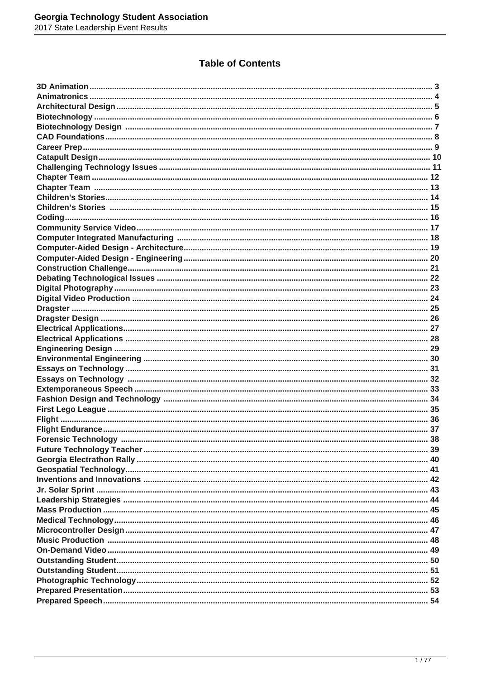### **Table of Contents**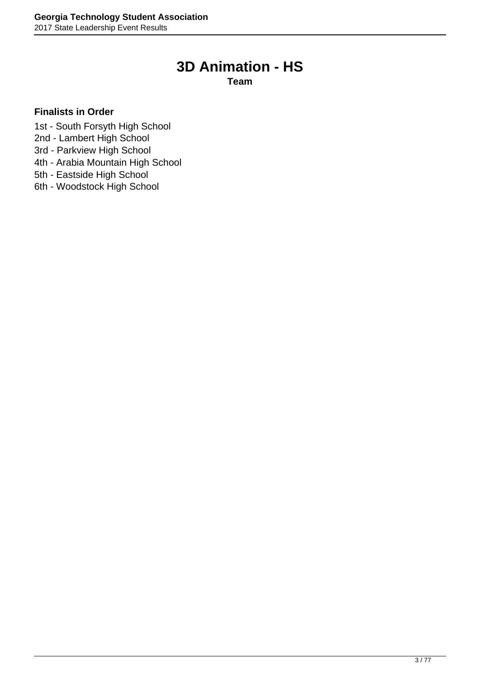### **3D Animation - HS**

**Team**

- <span id="page-2-0"></span>1st - South Forsyth High School
- 2nd Lambert High School
- 3rd Parkview High School
- 4th Arabia Mountain High School
- 5th Eastside High School
- 6th Woodstock High School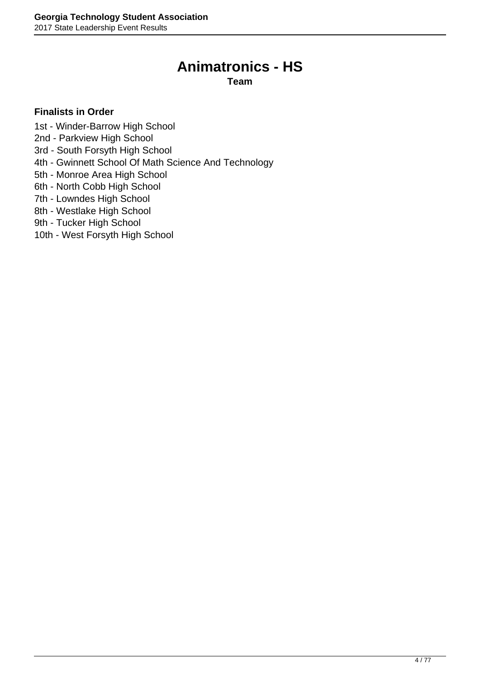### **Animatronics - HS**

**Team**

- <span id="page-3-0"></span>1st - Winder-Barrow High School
- 2nd Parkview High School
- 3rd South Forsyth High School
- 4th Gwinnett School Of Math Science And Technology
- 5th Monroe Area High School
- 6th North Cobb High School
- 7th Lowndes High School
- 8th Westlake High School
- 9th Tucker High School
- 10th West Forsyth High School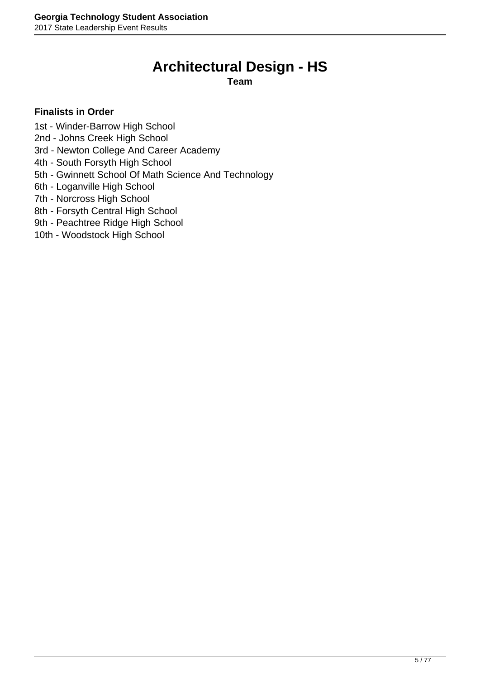# **Architectural Design - HS**

**Team**

- <span id="page-4-0"></span>1st - Winder-Barrow High School
- 2nd Johns Creek High School
- 3rd Newton College And Career Academy
- 4th South Forsyth High School
- 5th Gwinnett School Of Math Science And Technology
- 6th Loganville High School
- 7th Norcross High School
- 8th Forsyth Central High School
- 9th Peachtree Ridge High School
- 10th Woodstock High School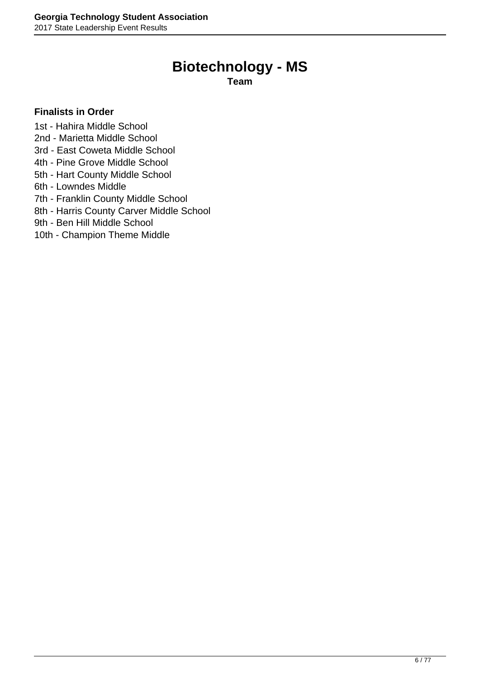### **Biotechnology - MS**

**Team**

### <span id="page-5-0"></span>**Finalists in Order**

1st - Hahira Middle School

- 2nd Marietta Middle School
- 3rd East Coweta Middle School
- 4th Pine Grove Middle School
- 5th Hart County Middle School
- 6th Lowndes Middle
- 7th Franklin County Middle School
- 8th Harris County Carver Middle School
- 9th Ben Hill Middle School
- 10th Champion Theme Middle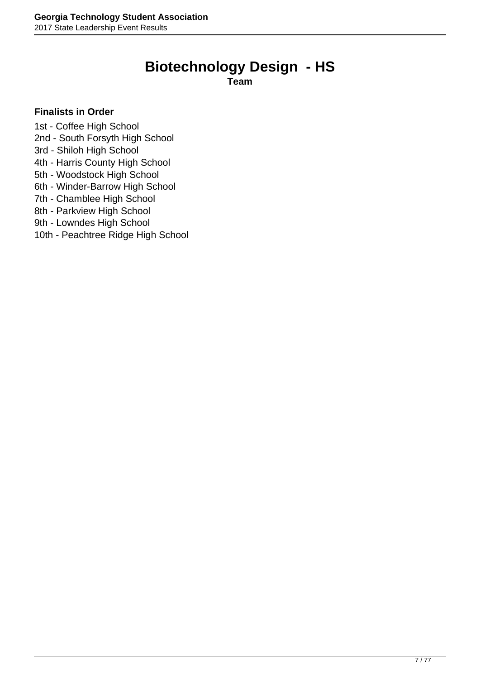## **Biotechnology Design - HS**

**Team**

- <span id="page-6-0"></span>1st - Coffee High School
- 2nd South Forsyth High School
- 3rd Shiloh High School
- 4th Harris County High School
- 5th Woodstock High School
- 6th Winder-Barrow High School
- 7th Chamblee High School
- 8th Parkview High School
- 9th Lowndes High School
- 10th Peachtree Ridge High School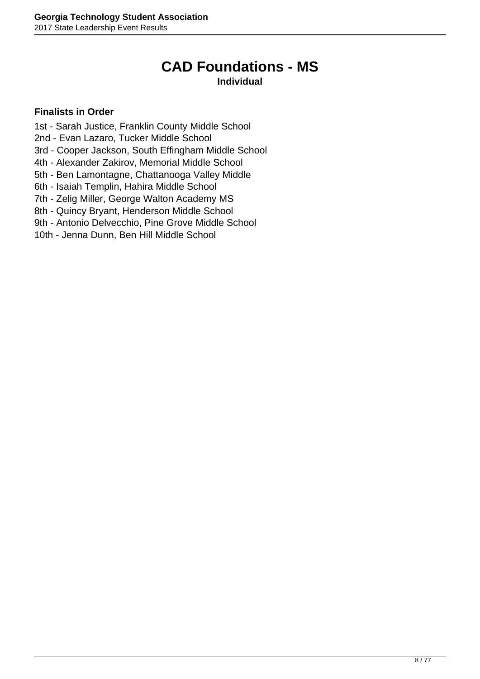### **CAD Foundations - MS Individual**

- <span id="page-7-0"></span>1st - Sarah Justice, Franklin County Middle School
- 2nd Evan Lazaro, Tucker Middle School
- 3rd Cooper Jackson, South Effingham Middle School
- 4th Alexander Zakirov, Memorial Middle School
- 5th Ben Lamontagne, Chattanooga Valley Middle
- 6th Isaiah Templin, Hahira Middle School
- 7th Zelig Miller, George Walton Academy MS
- 8th Quincy Bryant, Henderson Middle School
- 9th Antonio Delvecchio, Pine Grove Middle School
- 10th Jenna Dunn, Ben Hill Middle School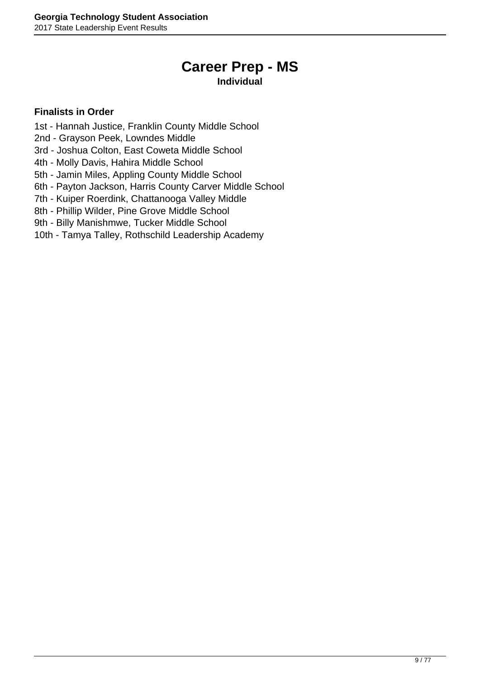# **Career Prep - MS**

### **Individual**

- <span id="page-8-0"></span>1st - Hannah Justice, Franklin County Middle School
- 2nd Grayson Peek, Lowndes Middle
- 3rd Joshua Colton, East Coweta Middle School
- 4th Molly Davis, Hahira Middle School
- 5th Jamin Miles, Appling County Middle School
- 6th Payton Jackson, Harris County Carver Middle School
- 7th Kuiper Roerdink, Chattanooga Valley Middle
- 8th Phillip Wilder, Pine Grove Middle School
- 9th Billy Manishmwe, Tucker Middle School
- 10th Tamya Talley, Rothschild Leadership Academy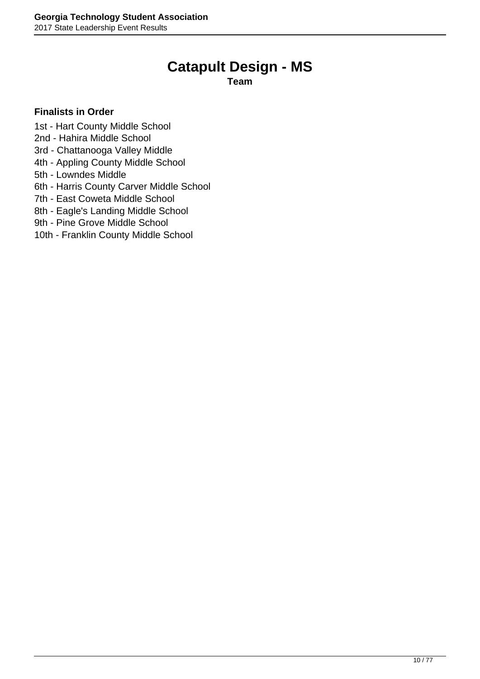## **Catapult Design - MS**

**Team**

- <span id="page-9-0"></span>1st - Hart County Middle School
- 2nd Hahira Middle School
- 3rd Chattanooga Valley Middle
- 4th Appling County Middle School
- 5th Lowndes Middle
- 6th Harris County Carver Middle School
- 7th East Coweta Middle School
- 8th Eagle's Landing Middle School
- 9th Pine Grove Middle School
- 10th Franklin County Middle School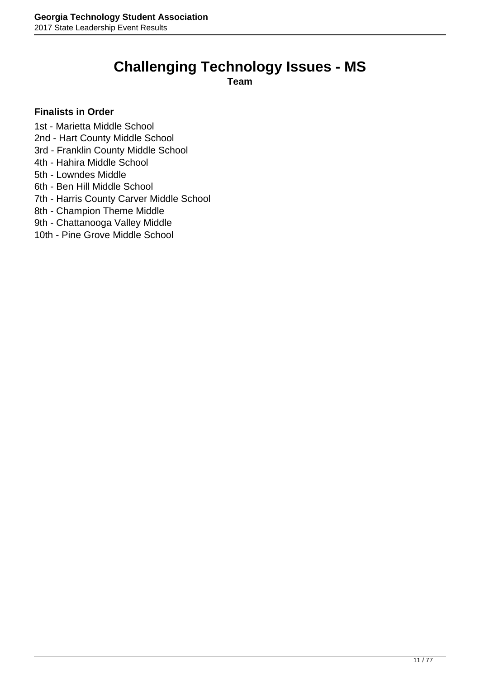# **Challenging Technology Issues - MS**

**Team**

- <span id="page-10-0"></span>1st - Marietta Middle School
- 2nd Hart County Middle School
- 3rd Franklin County Middle School
- 4th Hahira Middle School
- 5th Lowndes Middle
- 6th Ben Hill Middle School
- 7th Harris County Carver Middle School
- 8th Champion Theme Middle
- 9th Chattanooga Valley Middle
- 10th Pine Grove Middle School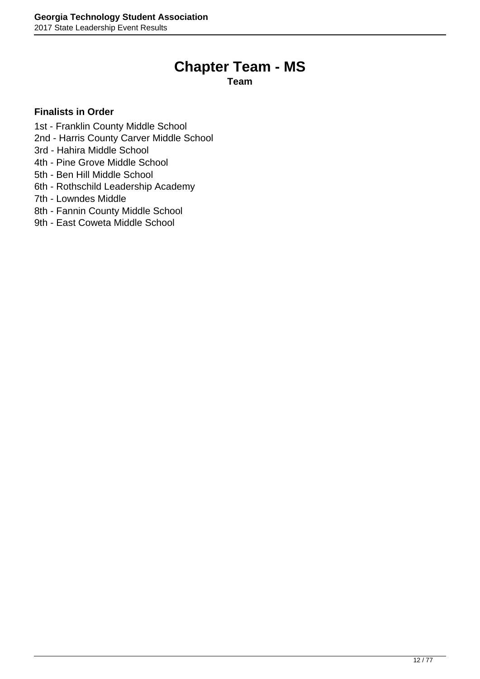### **Chapter Team - MS**

**Team**

- <span id="page-11-0"></span>1st - Franklin County Middle School
- 2nd Harris County Carver Middle School
- 3rd Hahira Middle School
- 4th Pine Grove Middle School
- 5th Ben Hill Middle School
- 6th Rothschild Leadership Academy
- 7th Lowndes Middle
- 8th Fannin County Middle School
- 9th East Coweta Middle School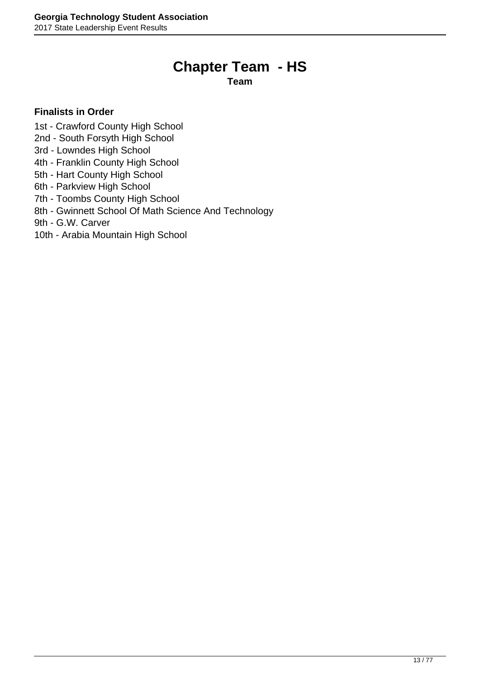# **Chapter Team - HS**

**Team**

- <span id="page-12-0"></span>1st - Crawford County High School
- 2nd South Forsyth High School
- 3rd Lowndes High School
- 4th Franklin County High School
- 5th Hart County High School
- 6th Parkview High School
- 7th Toombs County High School
- 8th Gwinnett School Of Math Science And Technology
- 9th G.W. Carver
- 10th Arabia Mountain High School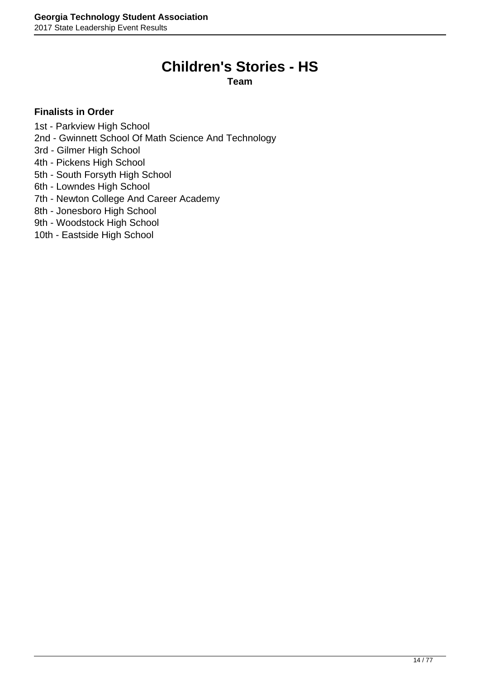# **Children's Stories - HS**

**Team**

- <span id="page-13-0"></span>1st - Parkview High School
- 2nd Gwinnett School Of Math Science And Technology
- 3rd Gilmer High School
- 4th Pickens High School
- 5th South Forsyth High School
- 6th Lowndes High School
- 7th Newton College And Career Academy
- 8th Jonesboro High School
- 9th Woodstock High School
- 10th Eastside High School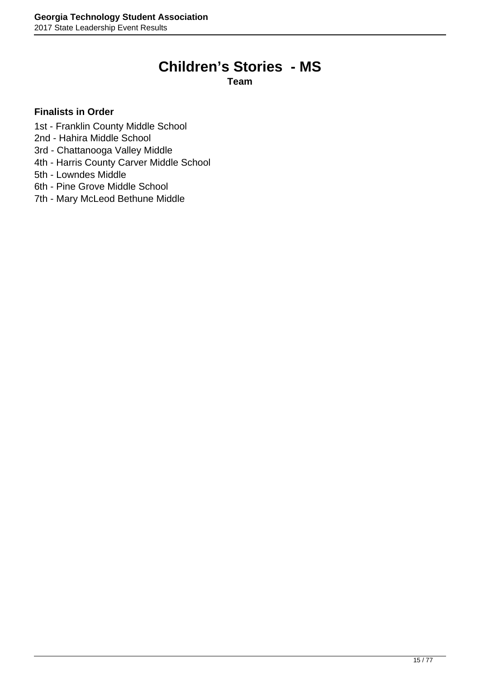# **Children's Stories - MS**

**Team**

- <span id="page-14-0"></span>1st - Franklin County Middle School
- 2nd Hahira Middle School
- 3rd Chattanooga Valley Middle
- 4th Harris County Carver Middle School
- 5th Lowndes Middle
- 6th Pine Grove Middle School
- 7th Mary McLeod Bethune Middle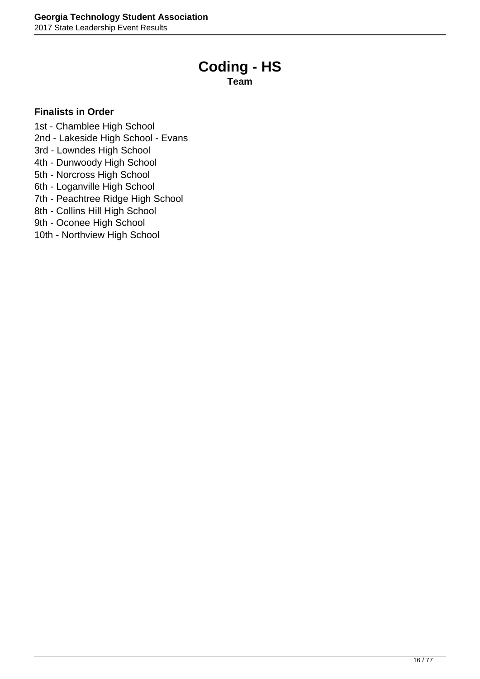## **Coding - HS**

**Team**

- <span id="page-15-0"></span>1st - Chamblee High School
- 2nd Lakeside High School Evans
- 3rd Lowndes High School
- 4th Dunwoody High School
- 5th Norcross High School
- 6th Loganville High School
- 7th Peachtree Ridge High School
- 8th Collins Hill High School
- 9th Oconee High School
- 10th Northview High School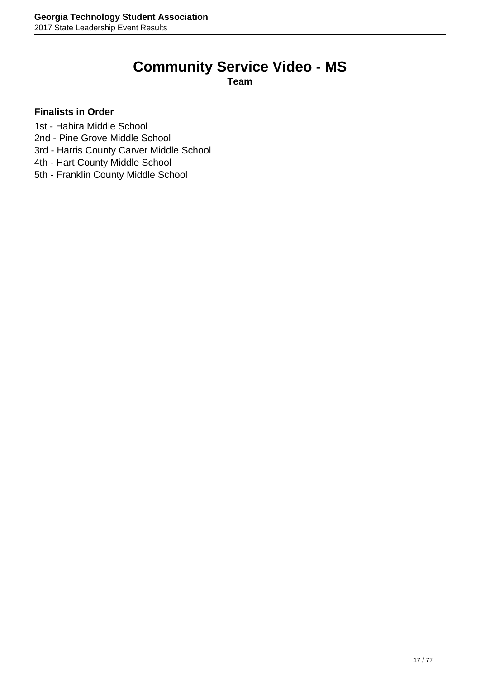# **Community Service Video - MS**

**Team**

- <span id="page-16-0"></span>1st - Hahira Middle School
- 2nd Pine Grove Middle School
- 3rd Harris County Carver Middle School
- 4th Hart County Middle School
- 5th Franklin County Middle School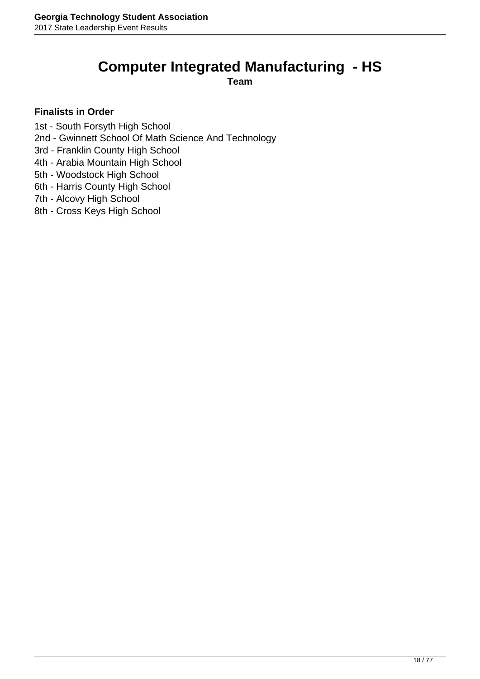### <span id="page-17-0"></span>**Computer Integrated Manufacturing - HS**

**Team**

- 1st South Forsyth High School
- 2nd Gwinnett School Of Math Science And Technology
- 3rd Franklin County High School
- 4th Arabia Mountain High School
- 5th Woodstock High School
- 6th Harris County High School
- 7th Alcovy High School
- 8th Cross Keys High School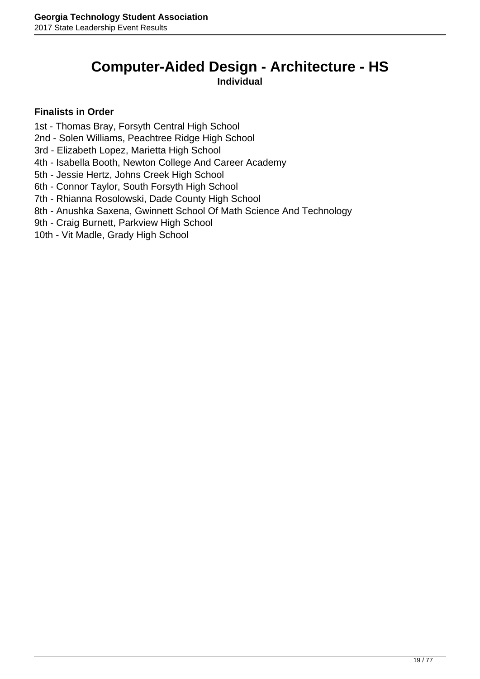# <span id="page-18-0"></span>**Computer-Aided Design - Architecture - HS**

**Individual**

- 1st Thomas Bray, Forsyth Central High School
- 2nd Solen Williams, Peachtree Ridge High School
- 3rd Elizabeth Lopez, Marietta High School
- 4th Isabella Booth, Newton College And Career Academy
- 5th Jessie Hertz, Johns Creek High School
- 6th Connor Taylor, South Forsyth High School
- 7th Rhianna Rosolowski, Dade County High School
- 8th Anushka Saxena, Gwinnett School Of Math Science And Technology
- 9th Craig Burnett, Parkview High School
- 10th Vit Madle, Grady High School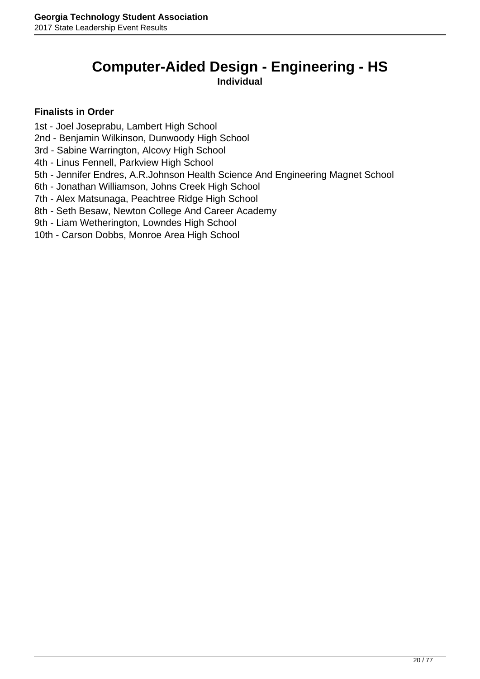# <span id="page-19-0"></span>**Computer-Aided Design - Engineering - HS**

**Individual**

- 1st Joel Joseprabu, Lambert High School
- 2nd Benjamin Wilkinson, Dunwoody High School
- 3rd Sabine Warrington, Alcovy High School
- 4th Linus Fennell, Parkview High School
- 5th Jennifer Endres, A.R.Johnson Health Science And Engineering Magnet School
- 6th Jonathan Williamson, Johns Creek High School
- 7th Alex Matsunaga, Peachtree Ridge High School
- 8th Seth Besaw, Newton College And Career Academy
- 9th Liam Wetherington, Lowndes High School
- 10th Carson Dobbs, Monroe Area High School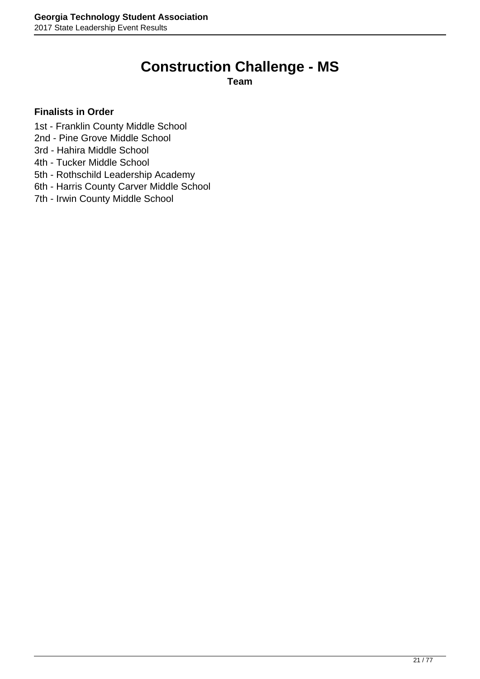# **Construction Challenge - MS**

**Team**

- <span id="page-20-0"></span>1st - Franklin County Middle School
- 2nd Pine Grove Middle School
- 3rd Hahira Middle School
- 4th Tucker Middle School
- 5th Rothschild Leadership Academy
- 6th Harris County Carver Middle School
- 7th Irwin County Middle School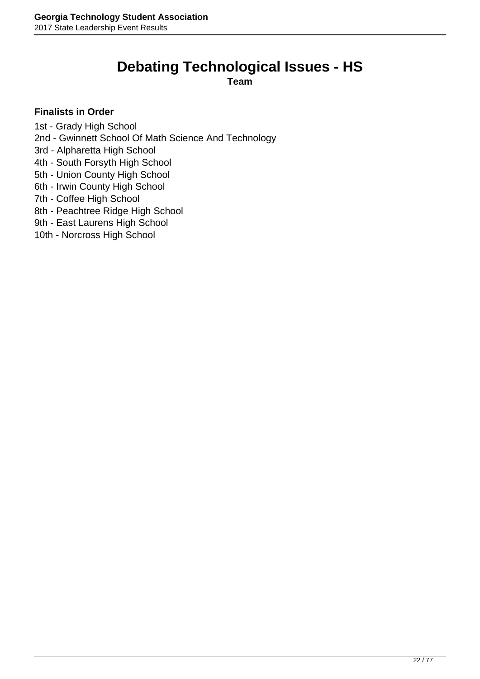# **Debating Technological Issues - HS**

**Team**

- <span id="page-21-0"></span>1st - Grady High School
- 2nd Gwinnett School Of Math Science And Technology
- 3rd Alpharetta High School
- 4th South Forsyth High School
- 5th Union County High School
- 6th Irwin County High School
- 7th Coffee High School
- 8th Peachtree Ridge High School
- 9th East Laurens High School
- 10th Norcross High School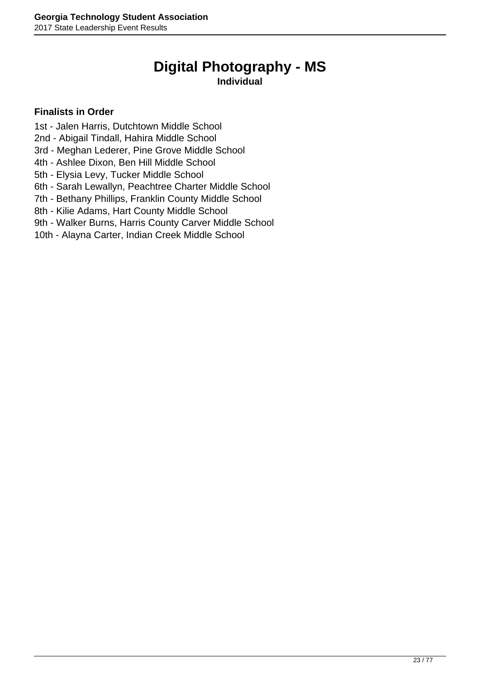# **Digital Photography - MS**

### **Individual**

- <span id="page-22-0"></span>1st - Jalen Harris, Dutchtown Middle School
- 2nd Abigail Tindall, Hahira Middle School
- 3rd Meghan Lederer, Pine Grove Middle School
- 4th Ashlee Dixon, Ben Hill Middle School
- 5th Elysia Levy, Tucker Middle School
- 6th Sarah Lewallyn, Peachtree Charter Middle School
- 7th Bethany Phillips, Franklin County Middle School
- 8th Kilie Adams, Hart County Middle School
- 9th Walker Burns, Harris County Carver Middle School
- 10th Alayna Carter, Indian Creek Middle School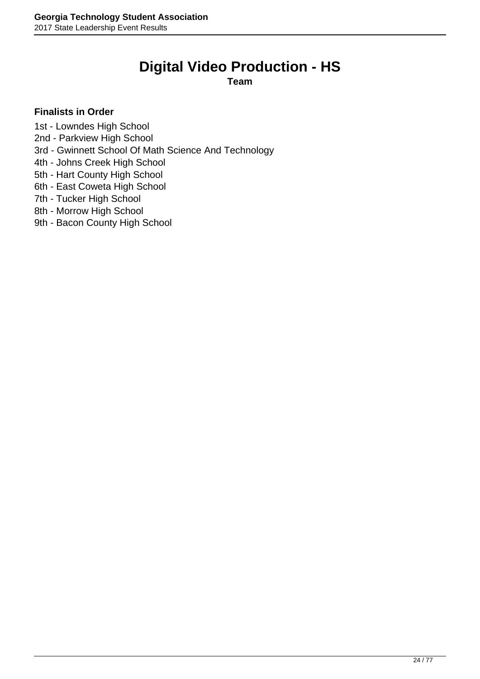# **Digital Video Production - HS**

**Team**

- <span id="page-23-0"></span>1st - Lowndes High School
- 2nd Parkview High School
- 3rd Gwinnett School Of Math Science And Technology
- 4th Johns Creek High School
- 5th Hart County High School
- 6th East Coweta High School
- 7th Tucker High School
- 8th Morrow High School
- 9th Bacon County High School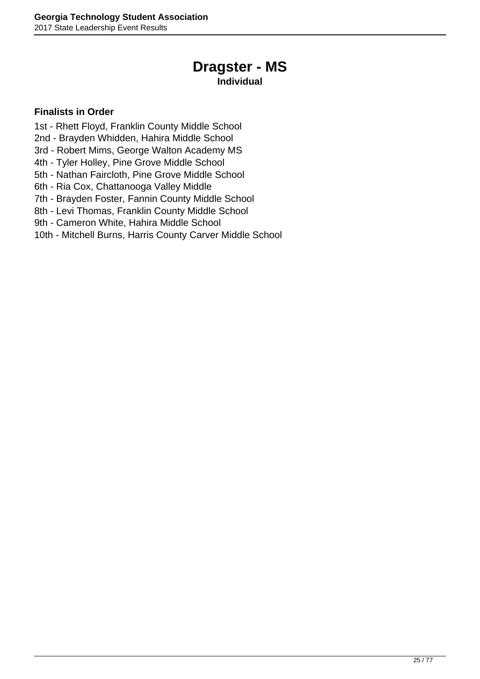## **Dragster - MS**

### **Individual**

- <span id="page-24-0"></span>1st - Rhett Floyd, Franklin County Middle School
- 2nd Brayden Whidden, Hahira Middle School
- 3rd Robert Mims, George Walton Academy MS
- 4th Tyler Holley, Pine Grove Middle School
- 5th Nathan Faircloth, Pine Grove Middle School
- 6th Ria Cox, Chattanooga Valley Middle
- 7th Brayden Foster, Fannin County Middle School
- 8th Levi Thomas, Franklin County Middle School
- 9th Cameron White, Hahira Middle School
- 10th Mitchell Burns, Harris County Carver Middle School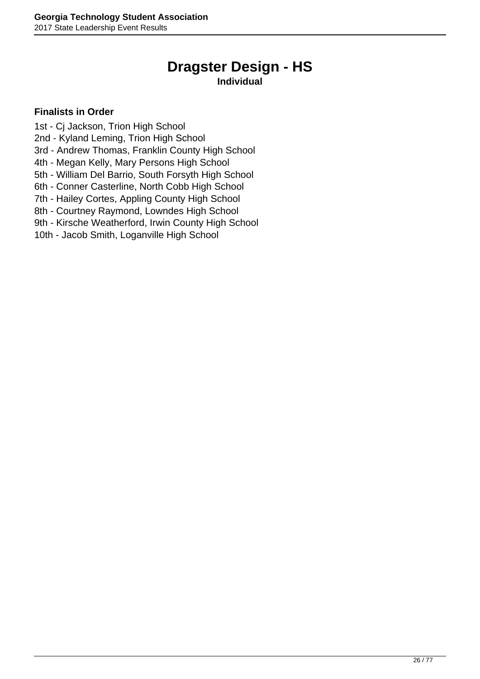# **Dragster Design - HS**

### **Individual**

- <span id="page-25-0"></span>1st - Cj Jackson, Trion High School
- 2nd Kyland Leming, Trion High School
- 3rd Andrew Thomas, Franklin County High School
- 4th Megan Kelly, Mary Persons High School
- 5th William Del Barrio, South Forsyth High School
- 6th Conner Casterline, North Cobb High School
- 7th Hailey Cortes, Appling County High School
- 8th Courtney Raymond, Lowndes High School
- 9th Kirsche Weatherford, Irwin County High School
- 10th Jacob Smith, Loganville High School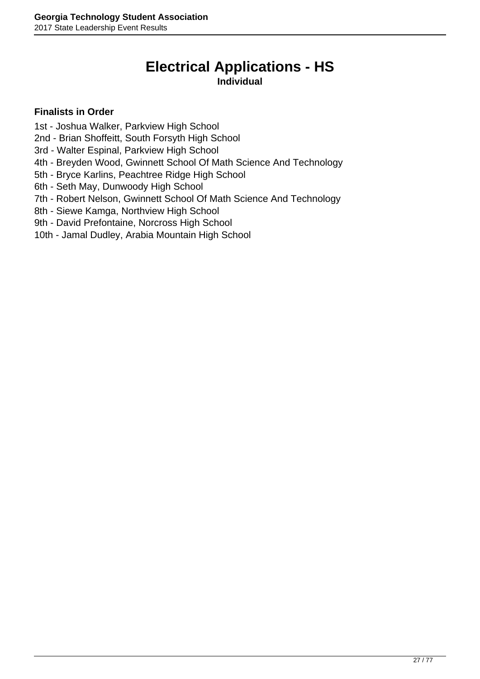# **Electrical Applications - HS**

### **Individual**

- <span id="page-26-0"></span>1st - Joshua Walker, Parkview High School
- 2nd Brian Shoffeitt, South Forsyth High School
- 3rd Walter Espinal, Parkview High School
- 4th Breyden Wood, Gwinnett School Of Math Science And Technology
- 5th Bryce Karlins, Peachtree Ridge High School
- 6th Seth May, Dunwoody High School
- 7th Robert Nelson, Gwinnett School Of Math Science And Technology
- 8th Siewe Kamga, Northview High School
- 9th David Prefontaine, Norcross High School
- 10th Jamal Dudley, Arabia Mountain High School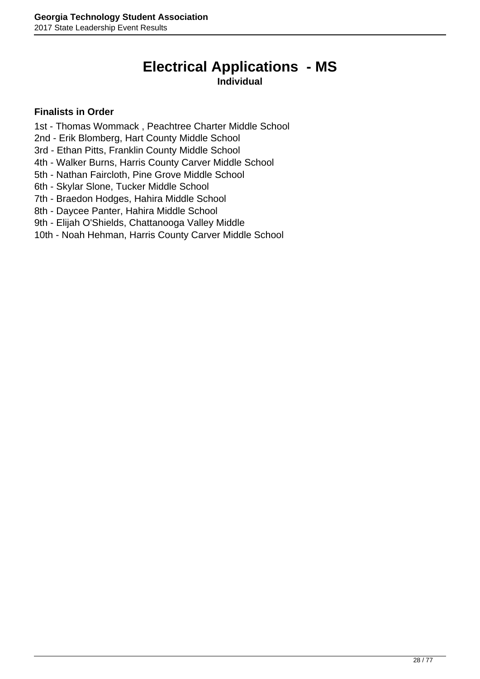### **Electrical Applications - MS Individual**

- <span id="page-27-0"></span>1st - Thomas Wommack , Peachtree Charter Middle School
- 2nd Erik Blomberg, Hart County Middle School
- 3rd Ethan Pitts, Franklin County Middle School
- 4th Walker Burns, Harris County Carver Middle School
- 5th Nathan Faircloth, Pine Grove Middle School
- 6th Skylar Slone, Tucker Middle School
- 7th Braedon Hodges, Hahira Middle School
- 8th Daycee Panter, Hahira Middle School
- 9th Elijah O'Shields, Chattanooga Valley Middle
- 10th Noah Hehman, Harris County Carver Middle School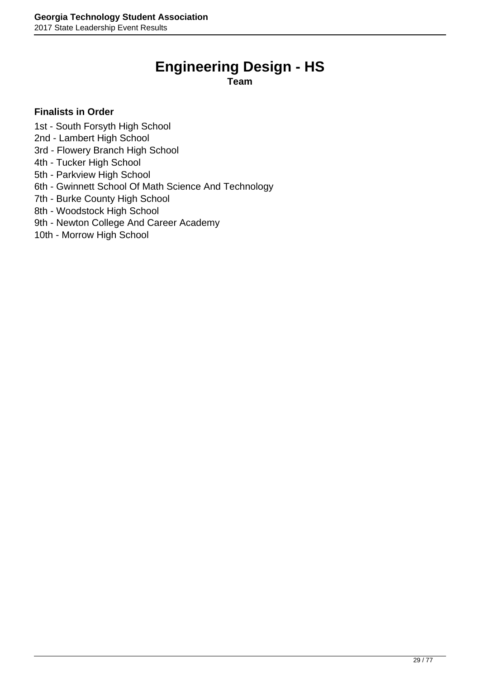# **Engineering Design - HS**

**Team**

- <span id="page-28-0"></span>1st - South Forsyth High School
- 2nd Lambert High School
- 3rd Flowery Branch High School
- 4th Tucker High School
- 5th Parkview High School
- 6th Gwinnett School Of Math Science And Technology
- 7th Burke County High School
- 8th Woodstock High School
- 9th Newton College And Career Academy
- 10th Morrow High School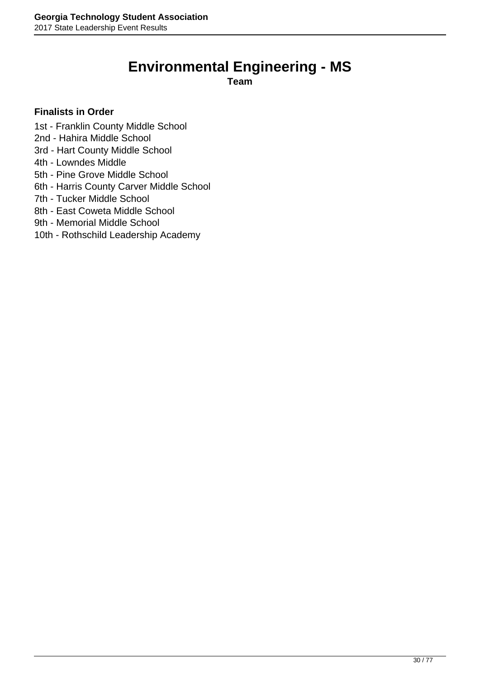# **Environmental Engineering - MS**

**Team**

- <span id="page-29-0"></span>1st - Franklin County Middle School
- 2nd Hahira Middle School
- 3rd Hart County Middle School
- 4th Lowndes Middle
- 5th Pine Grove Middle School
- 6th Harris County Carver Middle School
- 7th Tucker Middle School
- 8th East Coweta Middle School
- 9th Memorial Middle School
- 10th Rothschild Leadership Academy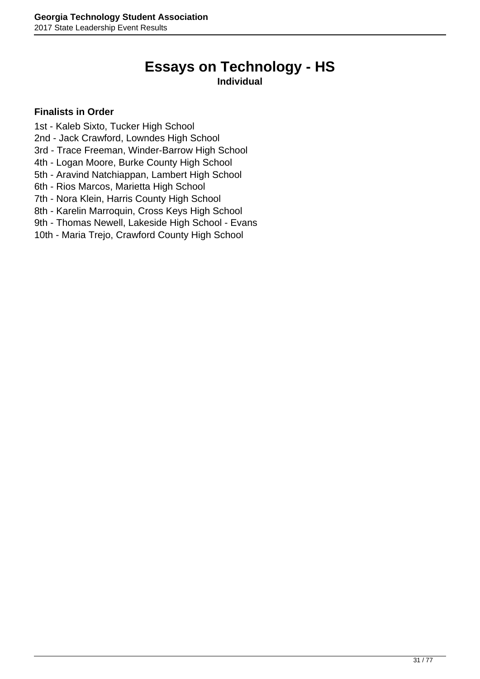# **Essays on Technology - HS**

**Individual**

- <span id="page-30-0"></span>1st - Kaleb Sixto, Tucker High School
- 2nd Jack Crawford, Lowndes High School
- 3rd Trace Freeman, Winder-Barrow High School
- 4th Logan Moore, Burke County High School
- 5th Aravind Natchiappan, Lambert High School
- 6th Rios Marcos, Marietta High School
- 7th Nora Klein, Harris County High School
- 8th Karelin Marroquin, Cross Keys High School
- 9th Thomas Newell, Lakeside High School Evans
- 10th Maria Trejo, Crawford County High School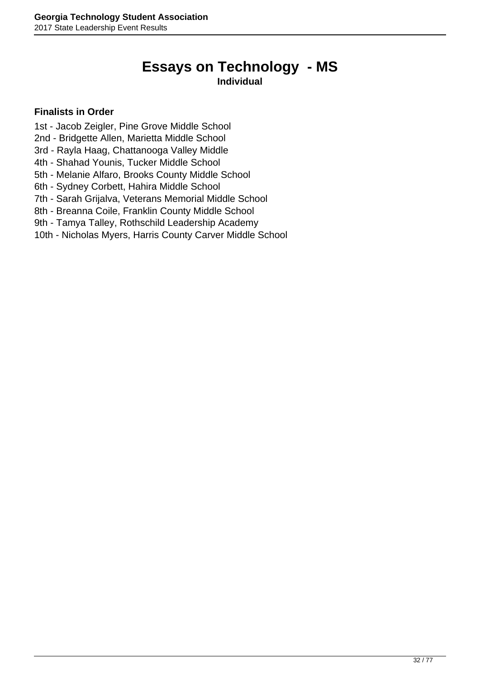# **Essays on Technology - MS**

### **Individual**

- <span id="page-31-0"></span>1st - Jacob Zeigler, Pine Grove Middle School
- 2nd Bridgette Allen, Marietta Middle School
- 3rd Rayla Haag, Chattanooga Valley Middle
- 4th Shahad Younis, Tucker Middle School
- 5th Melanie Alfaro, Brooks County Middle School
- 6th Sydney Corbett, Hahira Middle School
- 7th Sarah Grijalva, Veterans Memorial Middle School
- 8th Breanna Coile, Franklin County Middle School
- 9th Tamya Talley, Rothschild Leadership Academy
- 10th Nicholas Myers, Harris County Carver Middle School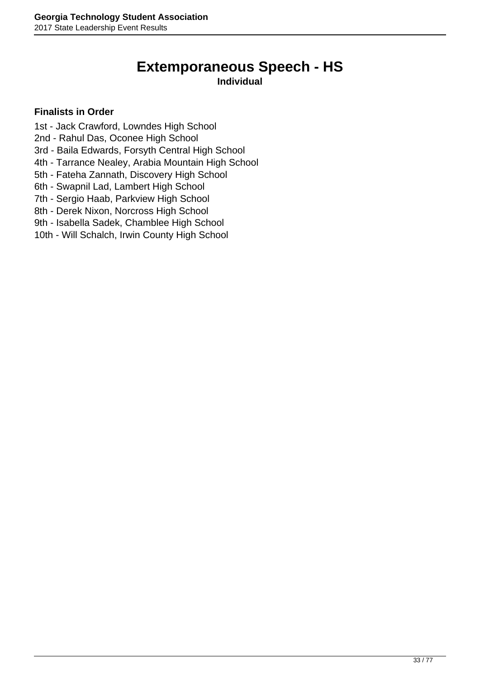# **Extemporaneous Speech - HS**

### **Individual**

- <span id="page-32-0"></span>1st - Jack Crawford, Lowndes High School
- 2nd Rahul Das, Oconee High School
- 3rd Baila Edwards, Forsyth Central High School
- 4th Tarrance Nealey, Arabia Mountain High School
- 5th Fateha Zannath, Discovery High School
- 6th Swapnil Lad, Lambert High School
- 7th Sergio Haab, Parkview High School
- 8th Derek Nixon, Norcross High School
- 9th Isabella Sadek, Chamblee High School
- 10th Will Schalch, Irwin County High School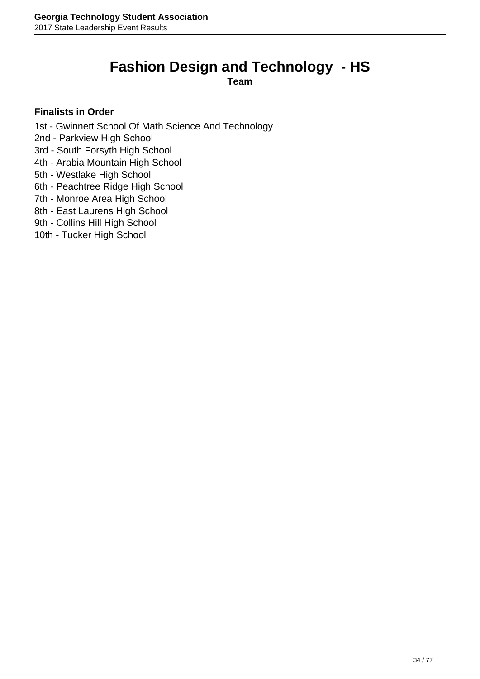# <span id="page-33-0"></span>**Fashion Design and Technology - HS**

**Team**

- 1st Gwinnett School Of Math Science And Technology
- 2nd Parkview High School
- 3rd South Forsyth High School
- 4th Arabia Mountain High School
- 5th Westlake High School
- 6th Peachtree Ridge High School
- 7th Monroe Area High School
- 8th East Laurens High School
- 9th Collins Hill High School
- 10th Tucker High School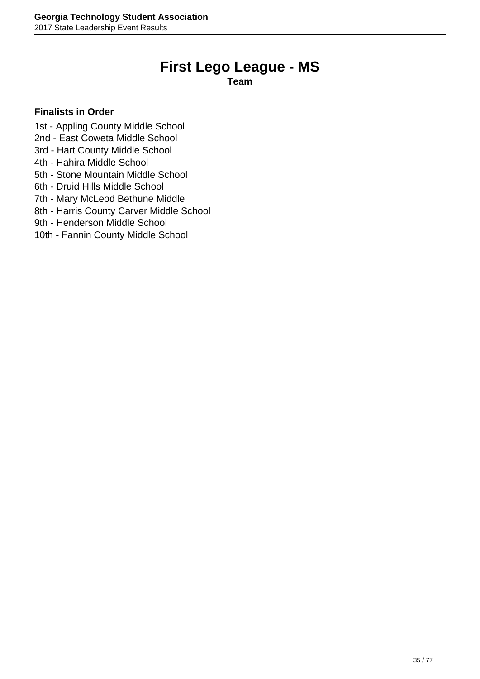# **First Lego League - MS**

**Team**

- <span id="page-34-0"></span>1st - Appling County Middle School
- 2nd East Coweta Middle School
- 3rd Hart County Middle School
- 4th Hahira Middle School
- 5th Stone Mountain Middle School
- 6th Druid Hills Middle School
- 7th Mary McLeod Bethune Middle
- 8th Harris County Carver Middle School
- 9th Henderson Middle School
- 10th Fannin County Middle School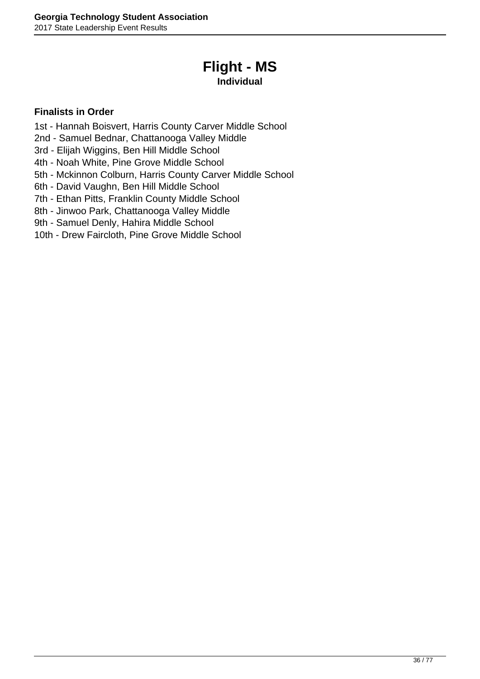# **Flight - MS**

### **Individual**

- <span id="page-35-0"></span>1st - Hannah Boisvert, Harris County Carver Middle School
- 2nd Samuel Bednar, Chattanooga Valley Middle
- 3rd Elijah Wiggins, Ben Hill Middle School
- 4th Noah White, Pine Grove Middle School
- 5th Mckinnon Colburn, Harris County Carver Middle School
- 6th David Vaughn, Ben Hill Middle School
- 7th Ethan Pitts, Franklin County Middle School
- 8th Jinwoo Park, Chattanooga Valley Middle
- 9th Samuel Denly, Hahira Middle School
- 10th Drew Faircloth, Pine Grove Middle School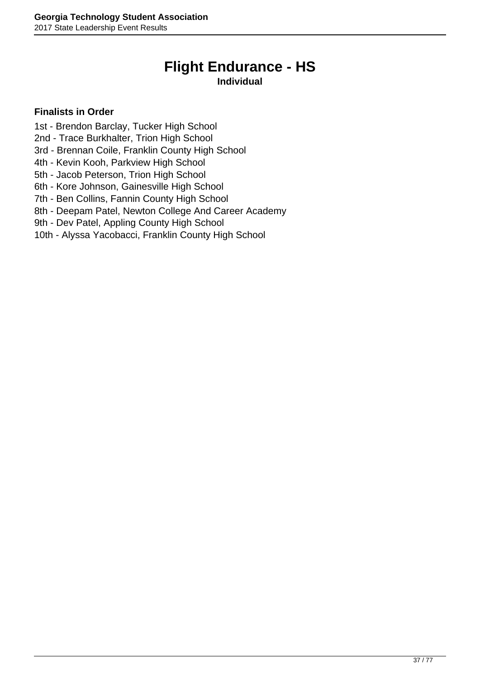# **Flight Endurance - HS**

#### **Individual**

- 1st Brendon Barclay, Tucker High School
- 2nd Trace Burkhalter, Trion High School
- 3rd Brennan Coile, Franklin County High School
- 4th Kevin Kooh, Parkview High School
- 5th Jacob Peterson, Trion High School
- 6th Kore Johnson, Gainesville High School
- 7th Ben Collins, Fannin County High School
- 8th Deepam Patel, Newton College And Career Academy
- 9th Dev Patel, Appling County High School
- 10th Alyssa Yacobacci, Franklin County High School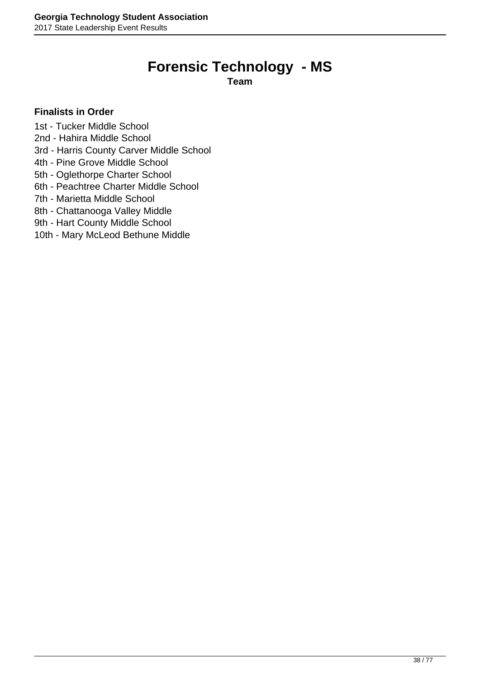## **Forensic Technology - MS**

**Team**

- 1st Tucker Middle School
- 2nd Hahira Middle School
- 3rd Harris County Carver Middle School
- 4th Pine Grove Middle School
- 5th Oglethorpe Charter School
- 6th Peachtree Charter Middle School
- 7th Marietta Middle School
- 8th Chattanooga Valley Middle
- 9th Hart County Middle School
- 10th Mary McLeod Bethune Middle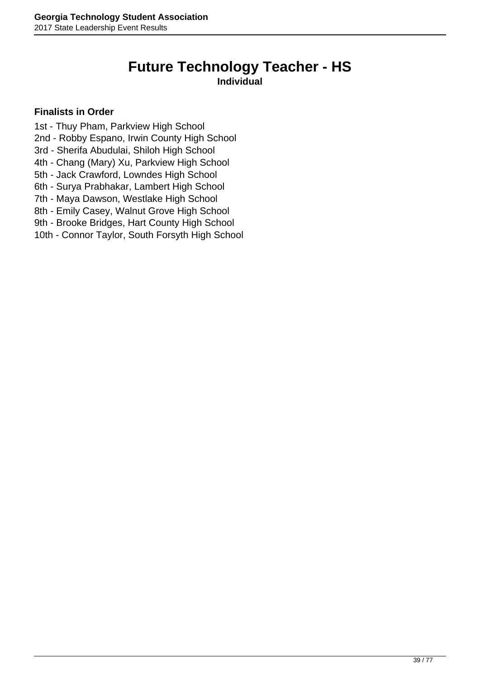# **Future Technology Teacher - HS**

**Individual**

- 1st Thuy Pham, Parkview High School
- 2nd Robby Espano, Irwin County High School
- 3rd Sherifa Abudulai, Shiloh High School
- 4th Chang (Mary) Xu, Parkview High School
- 5th Jack Crawford, Lowndes High School
- 6th Surya Prabhakar, Lambert High School
- 7th Maya Dawson, Westlake High School
- 8th Emily Casey, Walnut Grove High School
- 9th Brooke Bridges, Hart County High School
- 10th Connor Taylor, South Forsyth High School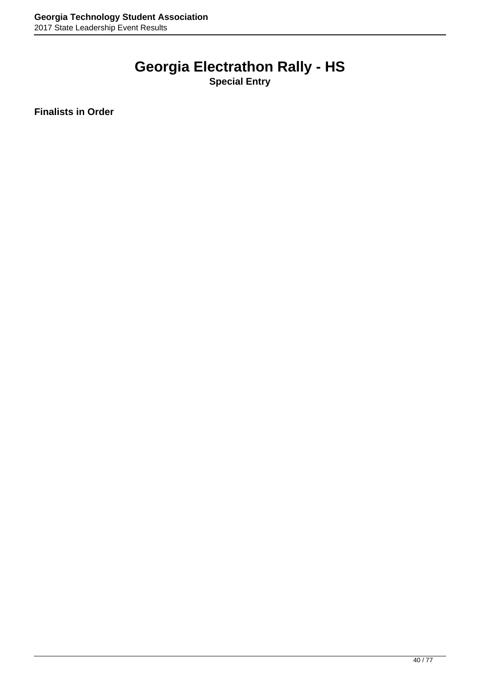## **Georgia Electrathon Rally - HS**

**Special Entry**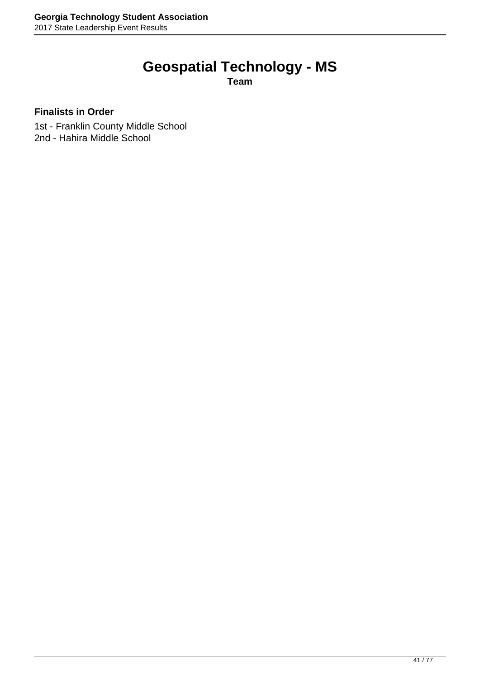# **Geospatial Technology - MS**

**Team**

#### **Finalists in Order**

1st - Franklin County Middle School 2nd - Hahira Middle School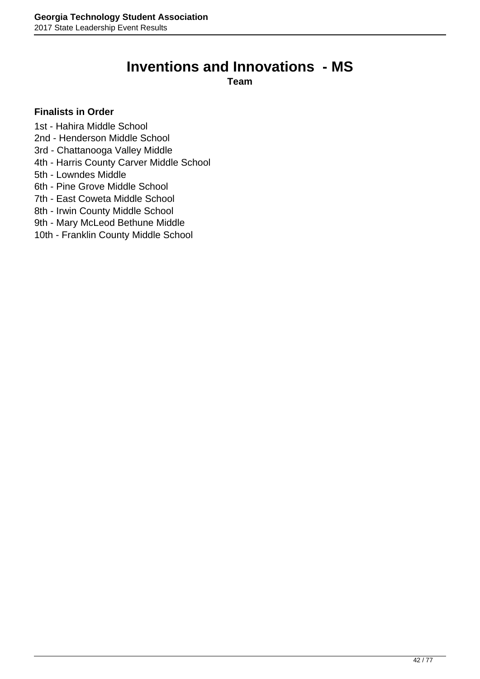### **Inventions and Innovations - MS**

**Team**

#### **Finalists in Order**

1st - Hahira Middle School

- 2nd Henderson Middle School
- 3rd Chattanooga Valley Middle
- 4th Harris County Carver Middle School
- 5th Lowndes Middle
- 6th Pine Grove Middle School
- 7th East Coweta Middle School
- 8th Irwin County Middle School
- 9th Mary McLeod Bethune Middle
- 10th Franklin County Middle School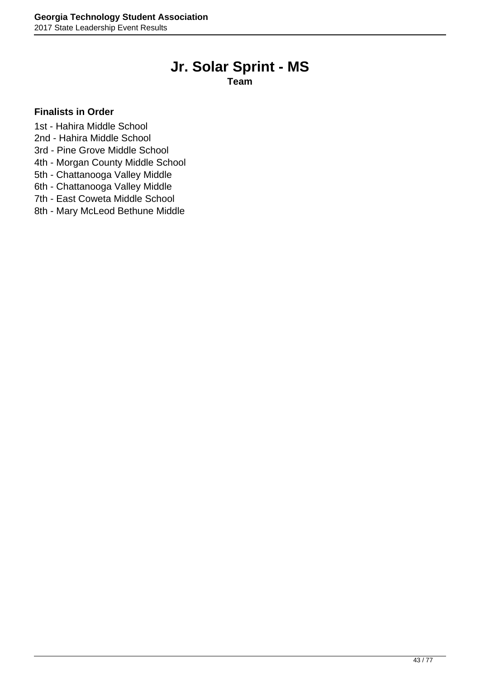## **Jr. Solar Sprint - MS**

**Team**

#### **Finalists in Order**

1st - Hahira Middle School

- 2nd Hahira Middle School
- 3rd Pine Grove Middle School
- 4th Morgan County Middle School
- 5th Chattanooga Valley Middle
- 6th Chattanooga Valley Middle
- 7th East Coweta Middle School
- 8th Mary McLeod Bethune Middle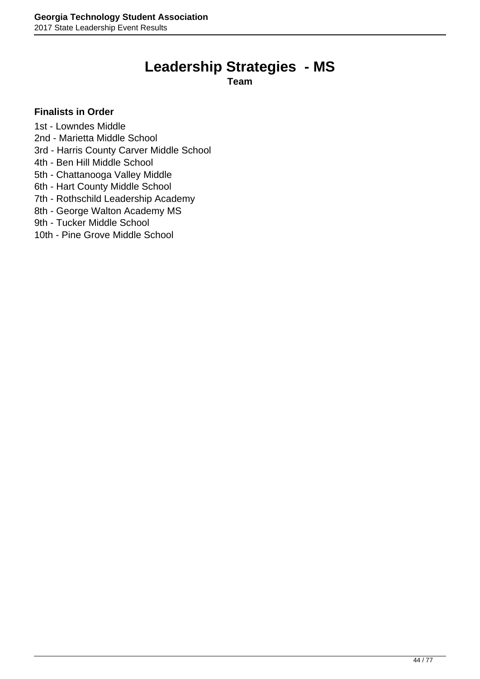# **Leadership Strategies - MS**

**Team**

- 1st Lowndes Middle
- 2nd Marietta Middle School
- 3rd Harris County Carver Middle School
- 4th Ben Hill Middle School
- 5th Chattanooga Valley Middle
- 6th Hart County Middle School
- 7th Rothschild Leadership Academy
- 8th George Walton Academy MS
- 9th Tucker Middle School
- 10th Pine Grove Middle School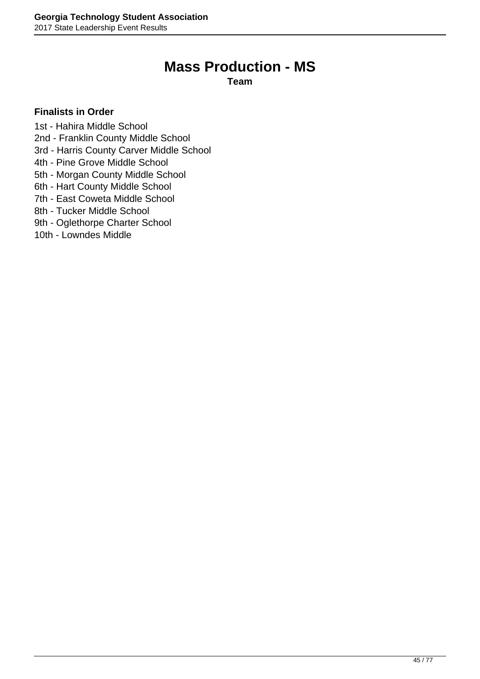### **Mass Production - MS**

**Team**

- 1st Hahira Middle School
- 2nd Franklin County Middle School
- 3rd Harris County Carver Middle School
- 4th Pine Grove Middle School
- 5th Morgan County Middle School
- 6th Hart County Middle School
- 7th East Coweta Middle School
- 8th Tucker Middle School
- 9th Oglethorpe Charter School
- 10th Lowndes Middle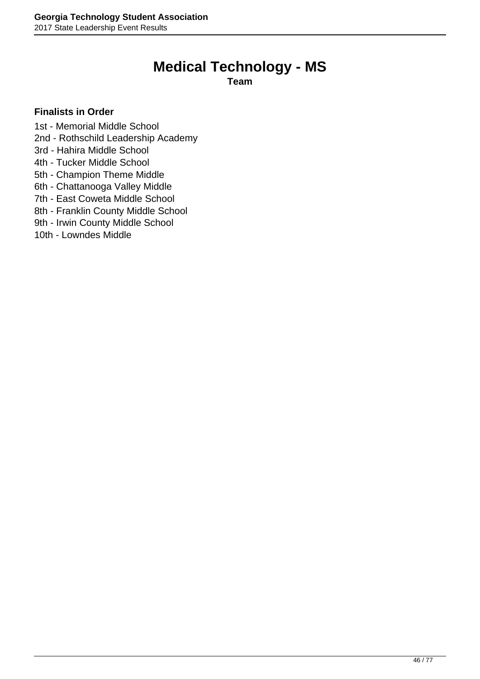### **Medical Technology - MS**

**Team**

- 1st Memorial Middle School
- 2nd Rothschild Leadership Academy
- 3rd Hahira Middle School
- 4th Tucker Middle School
- 5th Champion Theme Middle
- 6th Chattanooga Valley Middle
- 7th East Coweta Middle School
- 8th Franklin County Middle School
- 9th Irwin County Middle School
- 10th Lowndes Middle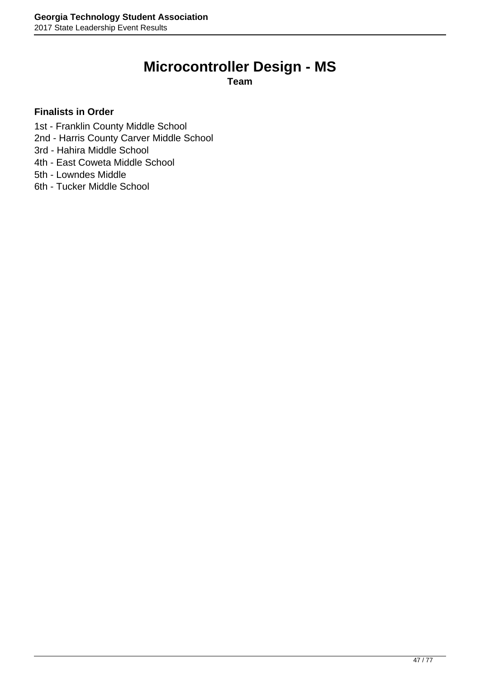# **Microcontroller Design - MS**

**Team**

- 1st Franklin County Middle School
- 2nd Harris County Carver Middle School
- 3rd Hahira Middle School
- 4th East Coweta Middle School
- 5th Lowndes Middle
- 6th Tucker Middle School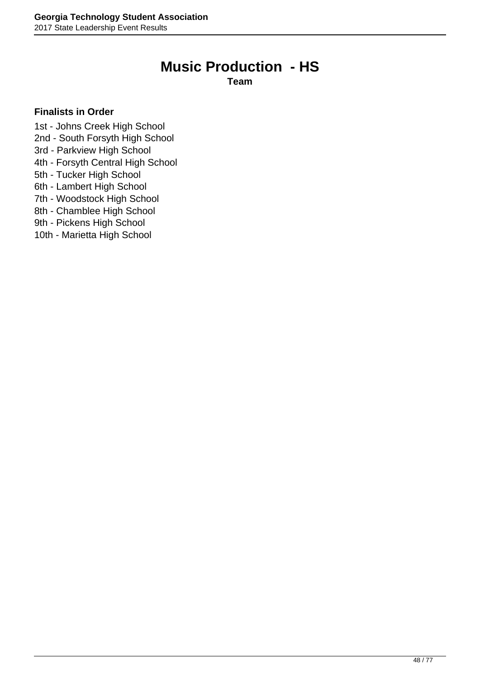### **Music Production - HS**

**Team**

#### **Finalists in Order**

1st - Johns Creek High School

- 2nd South Forsyth High School
- 3rd Parkview High School
- 4th Forsyth Central High School
- 5th Tucker High School
- 6th Lambert High School
- 7th Woodstock High School
- 8th Chamblee High School
- 9th Pickens High School
- 10th Marietta High School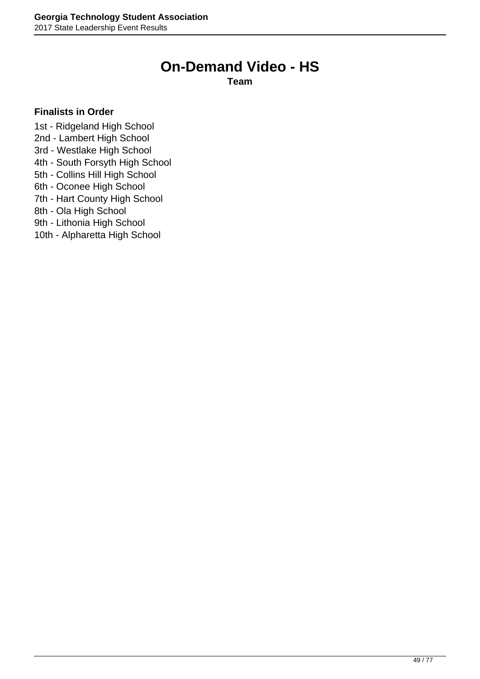### **On-Demand Video - HS**

**Team**

#### **Finalists in Order**

1st - Ridgeland High School

- 2nd Lambert High School
- 3rd Westlake High School
- 4th South Forsyth High School
- 5th Collins Hill High School
- 6th Oconee High School
- 7th Hart County High School
- 8th Ola High School
- 9th Lithonia High School
- 10th Alpharetta High School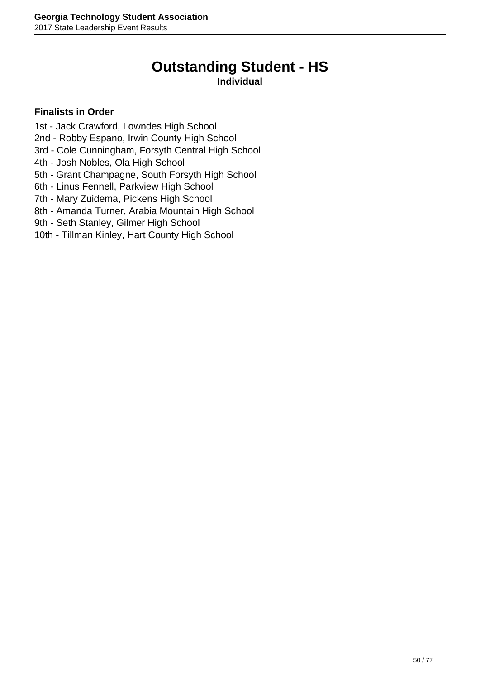# **Outstanding Student - HS**

#### **Individual**

- 1st Jack Crawford, Lowndes High School
- 2nd Robby Espano, Irwin County High School
- 3rd Cole Cunningham, Forsyth Central High School
- 4th Josh Nobles, Ola High School
- 5th Grant Champagne, South Forsyth High School
- 6th Linus Fennell, Parkview High School
- 7th Mary Zuidema, Pickens High School
- 8th Amanda Turner, Arabia Mountain High School
- 9th Seth Stanley, Gilmer High School
- 10th Tillman Kinley, Hart County High School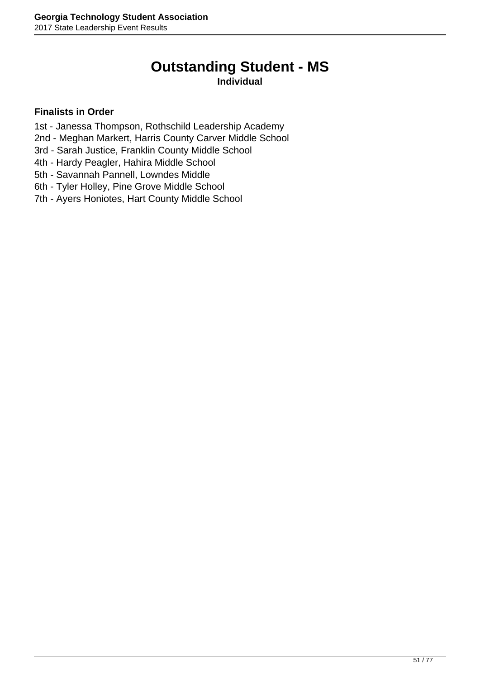# **Outstanding Student - MS**

**Individual**

- 1st Janessa Thompson, Rothschild Leadership Academy
- 2nd Meghan Markert, Harris County Carver Middle School
- 3rd Sarah Justice, Franklin County Middle School
- 4th Hardy Peagler, Hahira Middle School
- 5th Savannah Pannell, Lowndes Middle
- 6th Tyler Holley, Pine Grove Middle School
- 7th Ayers Honiotes, Hart County Middle School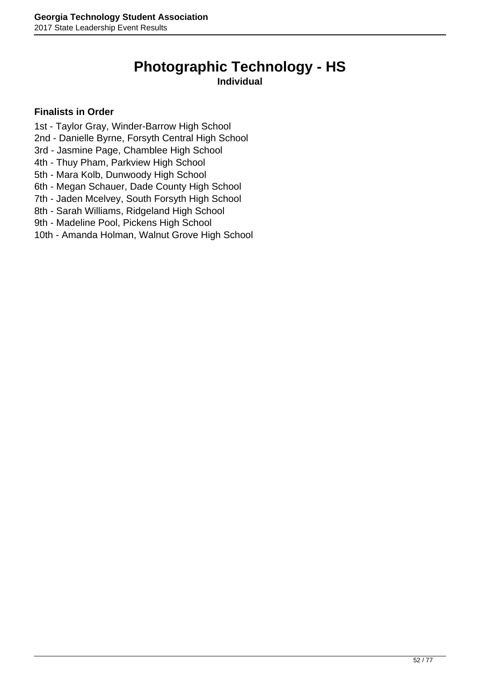# **Photographic Technology - HS**

#### **Individual**

- 1st Taylor Gray, Winder-Barrow High School
- 2nd Danielle Byrne, Forsyth Central High School
- 3rd Jasmine Page, Chamblee High School
- 4th Thuy Pham, Parkview High School
- 5th Mara Kolb, Dunwoody High School
- 6th Megan Schauer, Dade County High School
- 7th Jaden Mcelvey, South Forsyth High School
- 8th Sarah Williams, Ridgeland High School
- 9th Madeline Pool, Pickens High School
- 10th Amanda Holman, Walnut Grove High School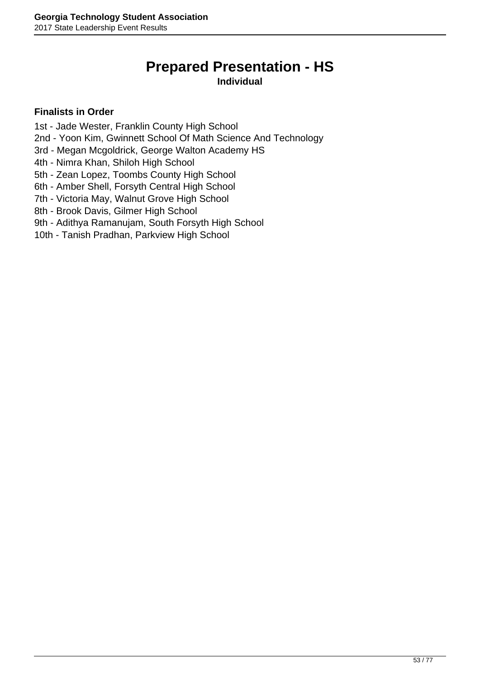# **Prepared Presentation - HS**

#### **Individual**

- 1st Jade Wester, Franklin County High School
- 2nd Yoon Kim, Gwinnett School Of Math Science And Technology
- 3rd Megan Mcgoldrick, George Walton Academy HS
- 4th Nimra Khan, Shiloh High School
- 5th Zean Lopez, Toombs County High School
- 6th Amber Shell, Forsyth Central High School
- 7th Victoria May, Walnut Grove High School
- 8th Brook Davis, Gilmer High School
- 9th Adithya Ramanujam, South Forsyth High School
- 10th Tanish Pradhan, Parkview High School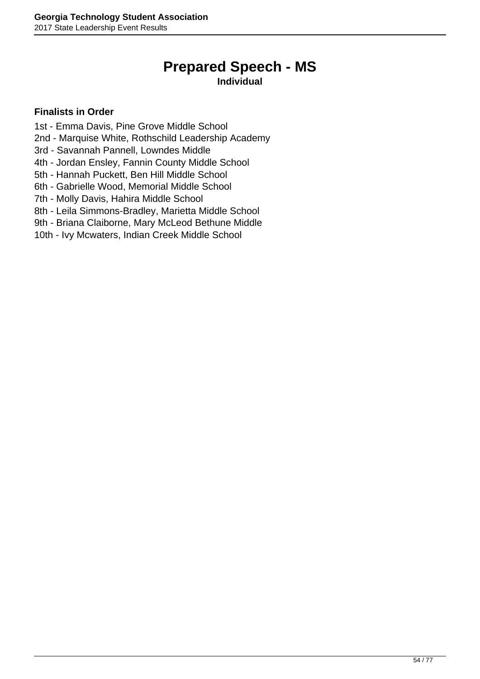# **Prepared Speech - MS**

#### **Individual**

- 1st Emma Davis, Pine Grove Middle School
- 2nd Marquise White, Rothschild Leadership Academy
- 3rd Savannah Pannell, Lowndes Middle
- 4th Jordan Ensley, Fannin County Middle School
- 5th Hannah Puckett, Ben Hill Middle School
- 6th Gabrielle Wood, Memorial Middle School
- 7th Molly Davis, Hahira Middle School
- 8th Leila Simmons-Bradley, Marietta Middle School
- 9th Briana Claiborne, Mary McLeod Bethune Middle
- 10th Ivy Mcwaters, Indian Creek Middle School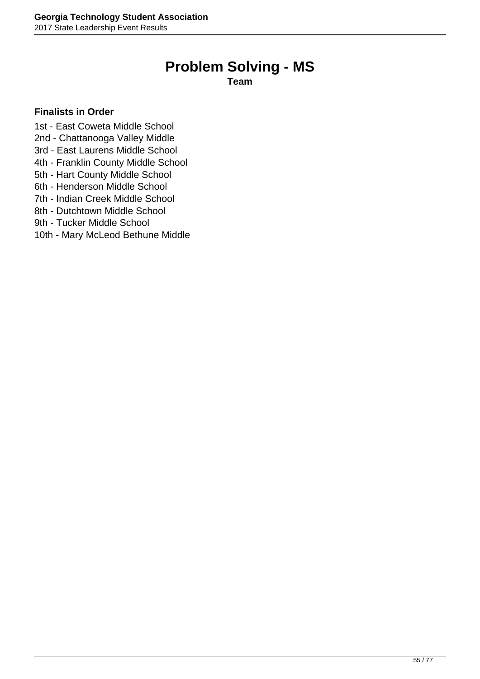### **Problem Solving - MS**

**Team**

- 1st East Coweta Middle School
- 2nd Chattanooga Valley Middle
- 3rd East Laurens Middle School
- 4th Franklin County Middle School
- 5th Hart County Middle School
- 6th Henderson Middle School
- 7th Indian Creek Middle School
- 8th Dutchtown Middle School
- 9th Tucker Middle School
- 10th Mary McLeod Bethune Middle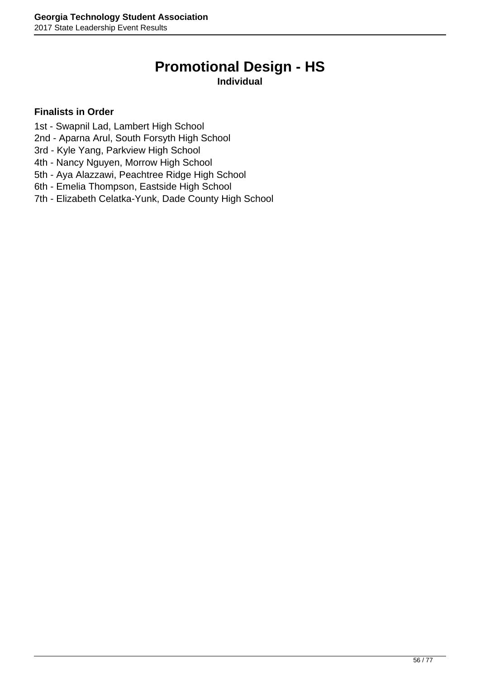### **Promotional Design - HS**

#### **Individual**

- 1st Swapnil Lad, Lambert High School
- 2nd Aparna Arul, South Forsyth High School
- 3rd Kyle Yang, Parkview High School
- 4th Nancy Nguyen, Morrow High School
- 5th Aya Alazzawi, Peachtree Ridge High School
- 6th Emelia Thompson, Eastside High School
- 7th Elizabeth Celatka-Yunk, Dade County High School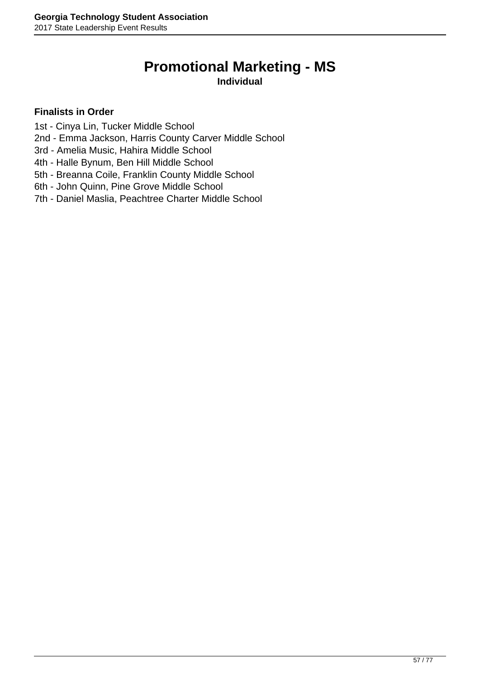# **Promotional Marketing - MS**

**Individual**

- 1st Cinya Lin, Tucker Middle School
- 2nd Emma Jackson, Harris County Carver Middle School
- 3rd Amelia Music, Hahira Middle School
- 4th Halle Bynum, Ben Hill Middle School
- 5th Breanna Coile, Franklin County Middle School
- 6th John Quinn, Pine Grove Middle School
- 7th Daniel Maslia, Peachtree Charter Middle School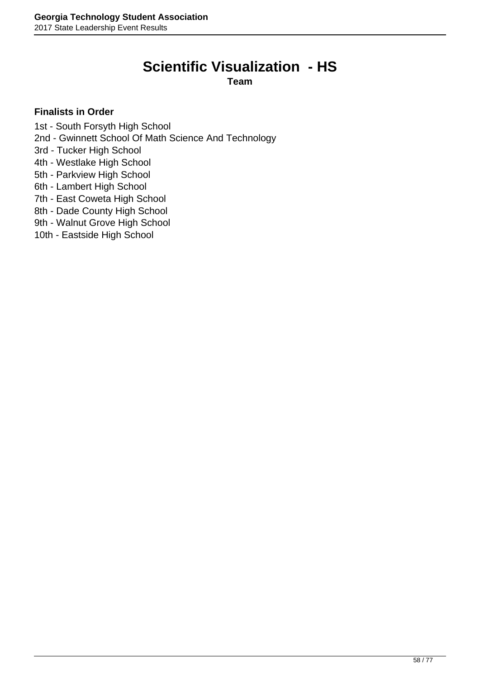#### **Scientific Visualization - HS Team**

- 1st South Forsyth High School
- 2nd Gwinnett School Of Math Science And Technology
- 3rd Tucker High School
- 4th Westlake High School
- 5th Parkview High School
- 6th Lambert High School
- 7th East Coweta High School
- 8th Dade County High School
- 9th Walnut Grove High School
- 10th Eastside High School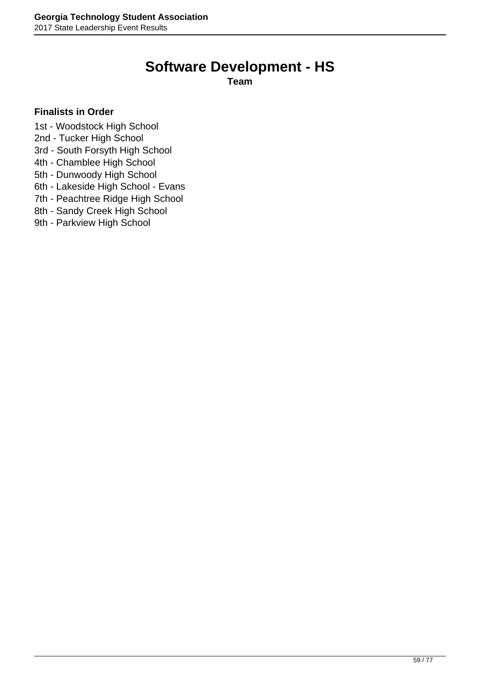### **Software Development - HS**

**Team**

#### **Finalists in Order**

1st - Woodstock High School

- 2nd Tucker High School
- 3rd South Forsyth High School
- 4th Chamblee High School
- 5th Dunwoody High School
- 6th Lakeside High School Evans
- 7th Peachtree Ridge High School
- 8th Sandy Creek High School
- 9th Parkview High School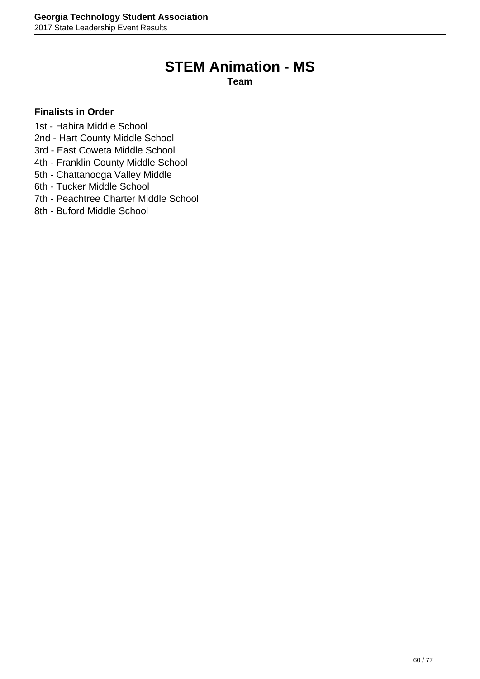### **STEM Animation - MS**

**Team**

#### **Finalists in Order**

1st - Hahira Middle School

- 2nd Hart County Middle School
- 3rd East Coweta Middle School
- 4th Franklin County Middle School
- 5th Chattanooga Valley Middle
- 6th Tucker Middle School
- 7th Peachtree Charter Middle School
- 8th Buford Middle School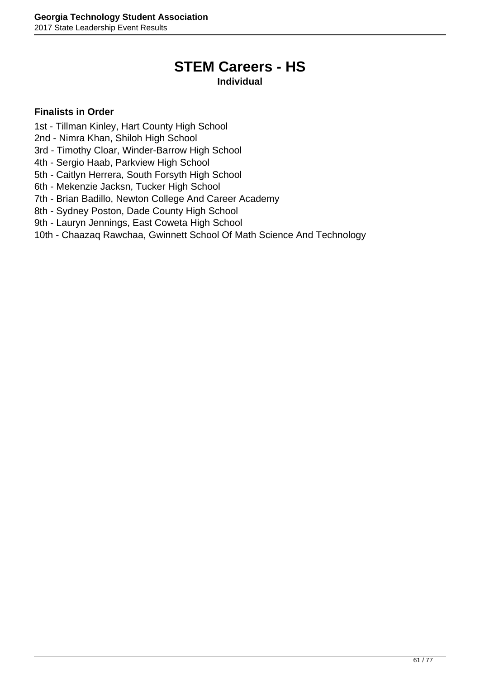### **STEM Careers - HS**

#### **Individual**

- 1st Tillman Kinley, Hart County High School
- 2nd Nimra Khan, Shiloh High School
- 3rd Timothy Cloar, Winder-Barrow High School
- 4th Sergio Haab, Parkview High School
- 5th Caitlyn Herrera, South Forsyth High School
- 6th Mekenzie Jacksn, Tucker High School
- 7th Brian Badillo, Newton College And Career Academy
- 8th Sydney Poston, Dade County High School
- 9th Lauryn Jennings, East Coweta High School
- 10th Chaazaq Rawchaa, Gwinnett School Of Math Science And Technology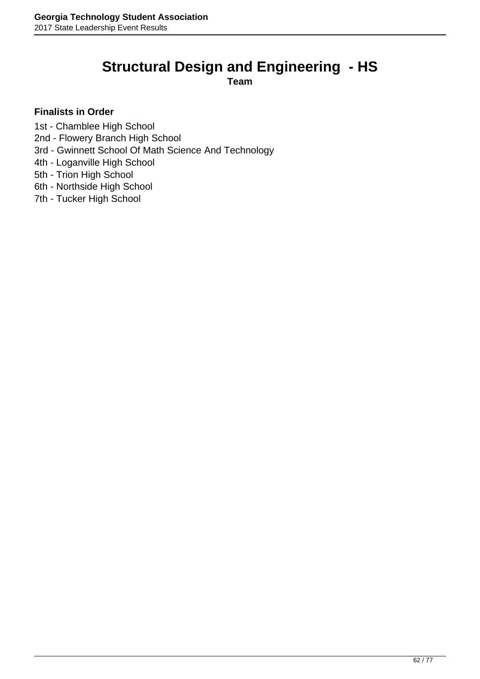## **Structural Design and Engineering - HS**

**Team**

- 1st Chamblee High School
- 2nd Flowery Branch High School
- 3rd Gwinnett School Of Math Science And Technology
- 4th Loganville High School
- 5th Trion High School
- 6th Northside High School
- 7th Tucker High School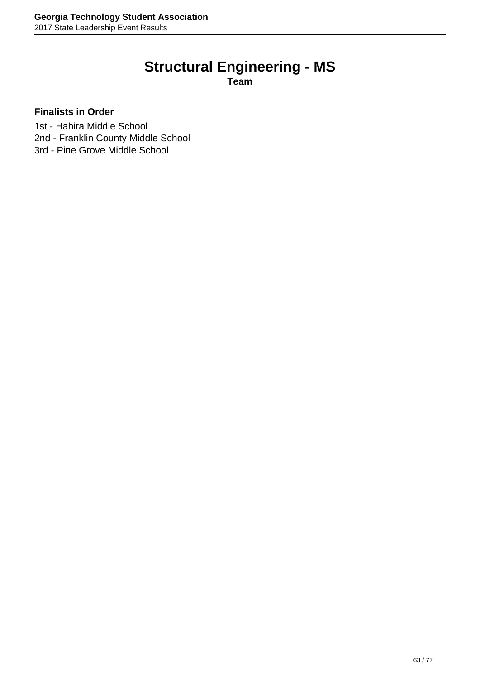# **Structural Engineering - MS**

**Team**

#### **Finalists in Order**

1st - Hahira Middle School

2nd - Franklin County Middle School

3rd - Pine Grove Middle School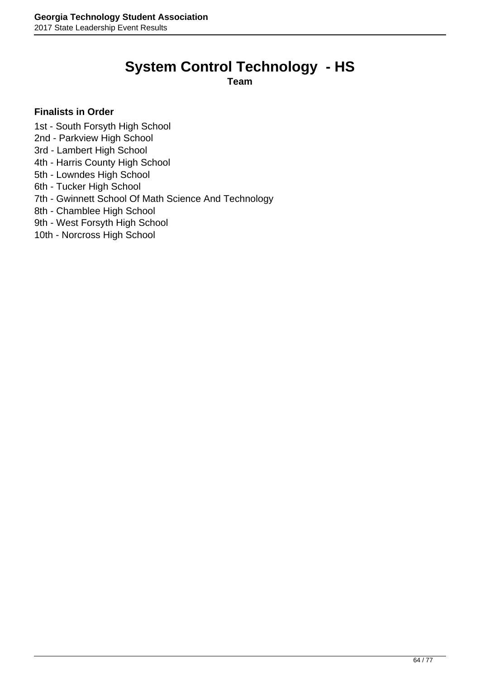# **System Control Technology - HS**

**Team**

- 1st South Forsyth High School
- 2nd Parkview High School
- 3rd Lambert High School
- 4th Harris County High School
- 5th Lowndes High School
- 6th Tucker High School
- 7th Gwinnett School Of Math Science And Technology
- 8th Chamblee High School
- 9th West Forsyth High School
- 10th Norcross High School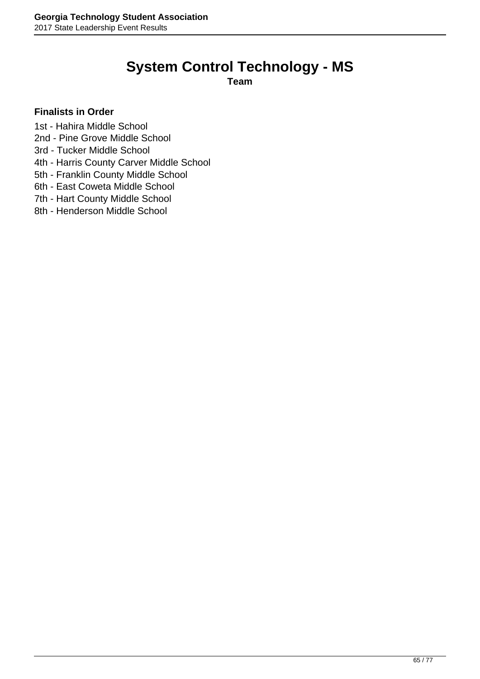# **System Control Technology - MS**

**Team**

- 1st Hahira Middle School
- 2nd Pine Grove Middle School
- 3rd Tucker Middle School
- 4th Harris County Carver Middle School
- 5th Franklin County Middle School
- 6th East Coweta Middle School
- 7th Hart County Middle School
- 8th Henderson Middle School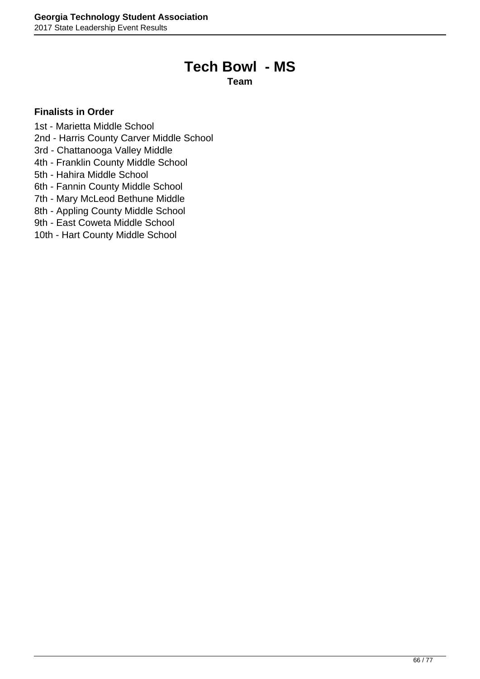### **Tech Bowl - MS**

**Team**

- 1st Marietta Middle School
- 2nd Harris County Carver Middle School
- 3rd Chattanooga Valley Middle
- 4th Franklin County Middle School
- 5th Hahira Middle School
- 6th Fannin County Middle School
- 7th Mary McLeod Bethune Middle
- 8th Appling County Middle School
- 9th East Coweta Middle School
- 10th Hart County Middle School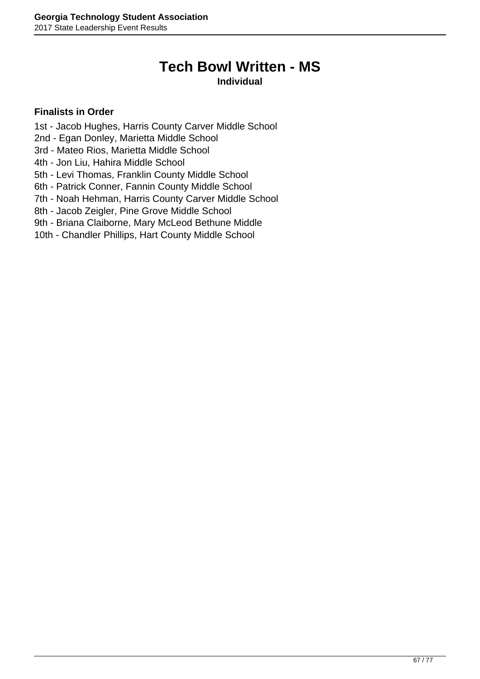# **Tech Bowl Written - MS**

#### **Individual**

- 1st Jacob Hughes, Harris County Carver Middle School
- 2nd Egan Donley, Marietta Middle School
- 3rd Mateo Rios, Marietta Middle School
- 4th Jon Liu, Hahira Middle School
- 5th Levi Thomas, Franklin County Middle School
- 6th Patrick Conner, Fannin County Middle School
- 7th Noah Hehman, Harris County Carver Middle School
- 8th Jacob Zeigler, Pine Grove Middle School
- 9th Briana Claiborne, Mary McLeod Bethune Middle
- 10th Chandler Phillips, Hart County Middle School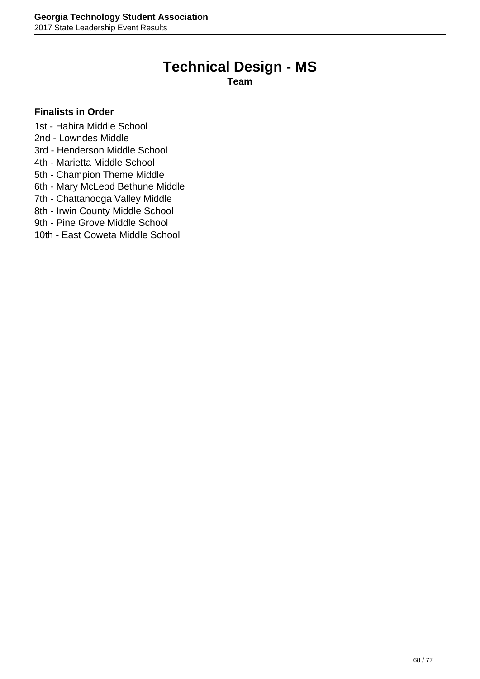### **Technical Design - MS**

**Team**

#### **Finalists in Order**

1st - Hahira Middle School

- 2nd Lowndes Middle
- 3rd Henderson Middle School
- 4th Marietta Middle School
- 5th Champion Theme Middle
- 6th Mary McLeod Bethune Middle
- 7th Chattanooga Valley Middle
- 8th Irwin County Middle School

9th - Pine Grove Middle School

10th - East Coweta Middle School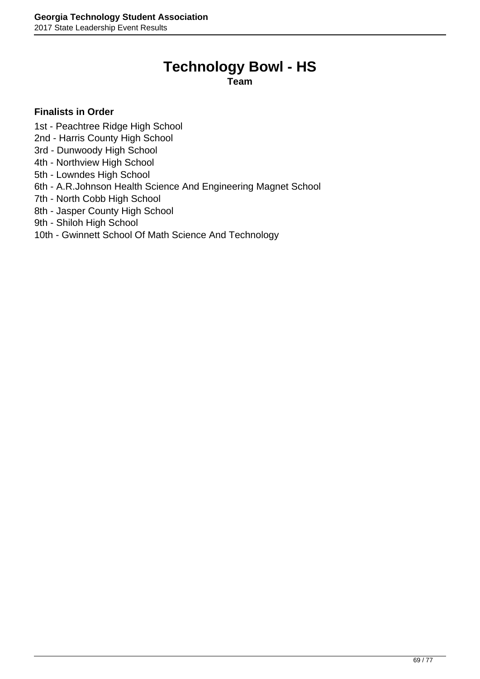### **Technology Bowl - HS**

**Team**

#### **Finalists in Order**

- 1st Peachtree Ridge High School
- 2nd Harris County High School
- 3rd Dunwoody High School
- 4th Northview High School
- 5th Lowndes High School
- 6th A.R.Johnson Health Science And Engineering Magnet School
- 7th North Cobb High School
- 8th Jasper County High School
- 9th Shiloh High School

#### 10th - Gwinnett School Of Math Science And Technology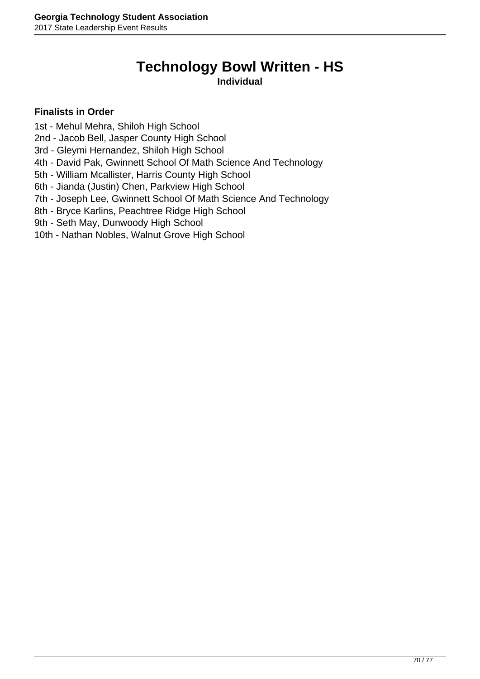# **Technology Bowl Written - HS**

#### **Individual**

- 1st Mehul Mehra, Shiloh High School
- 2nd Jacob Bell, Jasper County High School
- 3rd Gleymi Hernandez, Shiloh High School
- 4th David Pak, Gwinnett School Of Math Science And Technology
- 5th William Mcallister, Harris County High School
- 6th Jianda (Justin) Chen, Parkview High School
- 7th Joseph Lee, Gwinnett School Of Math Science And Technology
- 8th Bryce Karlins, Peachtree Ridge High School
- 9th Seth May, Dunwoody High School
- 10th Nathan Nobles, Walnut Grove High School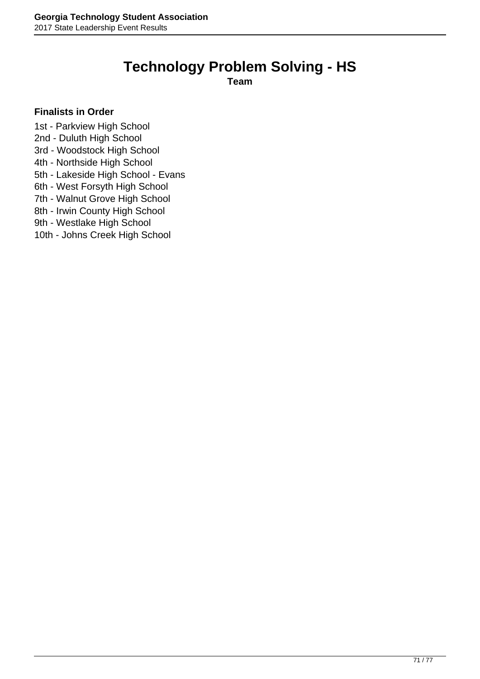### **Technology Problem Solving - HS**

**Team**

#### **Finalists in Order**

1st - Parkview High School

- 2nd Duluth High School
- 3rd Woodstock High School
- 4th Northside High School
- 5th Lakeside High School Evans
- 6th West Forsyth High School
- 7th Walnut Grove High School
- 8th Irwin County High School
- 9th Westlake High School
- 10th Johns Creek High School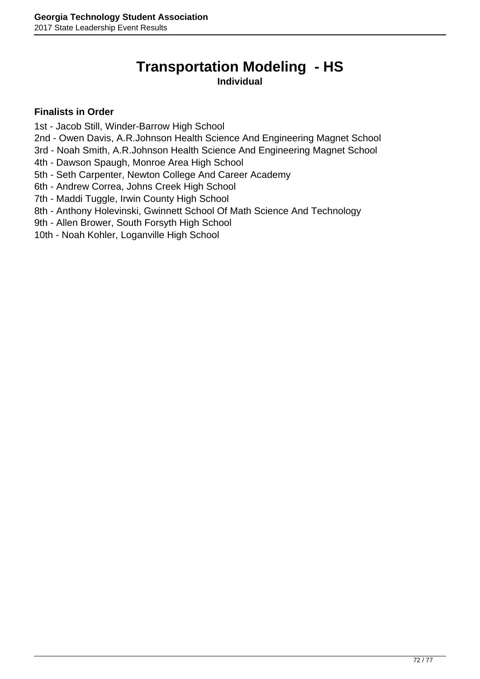#### **Transportation Modeling - HS Individual**

- 1st Jacob Still, Winder-Barrow High School
- 2nd Owen Davis, A.R.Johnson Health Science And Engineering Magnet School
- 3rd Noah Smith, A.R.Johnson Health Science And Engineering Magnet School
- 4th Dawson Spaugh, Monroe Area High School
- 5th Seth Carpenter, Newton College And Career Academy
- 6th Andrew Correa, Johns Creek High School
- 7th Maddi Tuggle, Irwin County High School
- 8th Anthony Holevinski, Gwinnett School Of Math Science And Technology
- 9th Allen Brower, South Forsyth High School
- 10th Noah Kohler, Loganville High School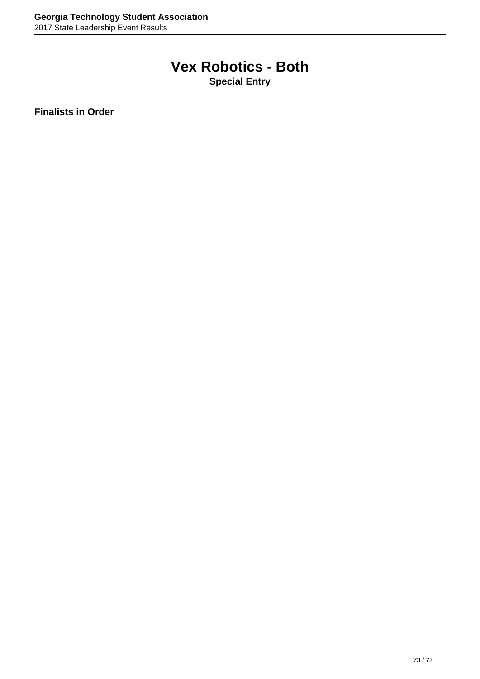# **Vex Robotics - Both**

**Special Entry**

**Finalists in Order**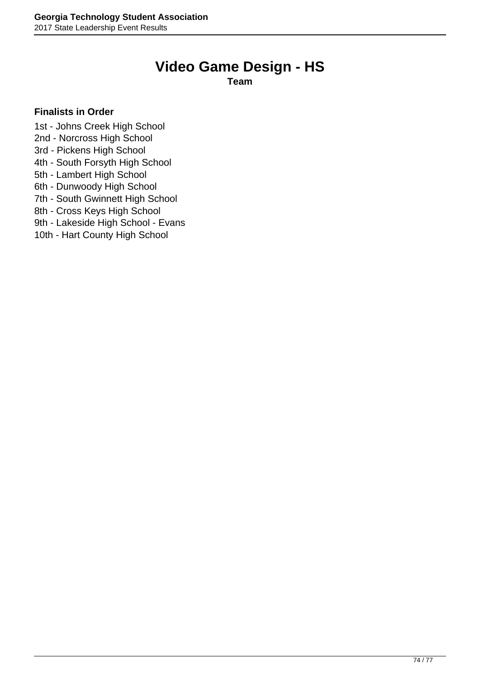# **Video Game Design - HS**

**Team**

### **Finalists in Order**

1st - Johns Creek High School

- 2nd Norcross High School
- 3rd Pickens High School
- 4th South Forsyth High School
- 5th Lambert High School
- 6th Dunwoody High School
- 7th South Gwinnett High School
- 8th Cross Keys High School
- 9th Lakeside High School Evans
- 10th Hart County High School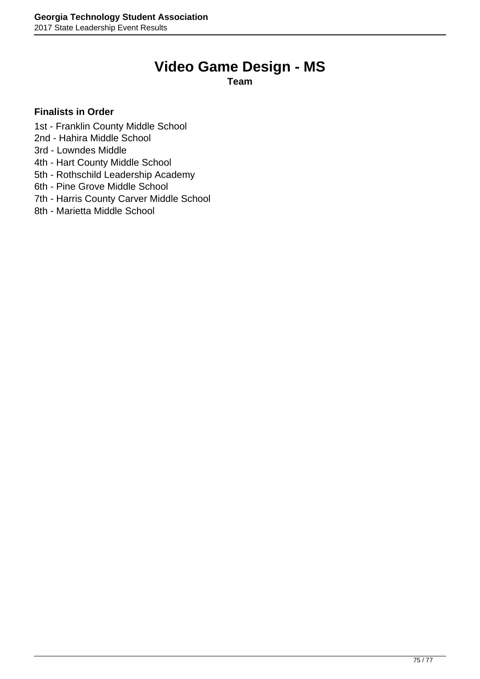# **Video Game Design - MS**

**Team**

#### **Finalists in Order**

- 1st Franklin County Middle School
- 2nd Hahira Middle School
- 3rd Lowndes Middle
- 4th Hart County Middle School
- 5th Rothschild Leadership Academy
- 6th Pine Grove Middle School
- 7th Harris County Carver Middle School
- 8th Marietta Middle School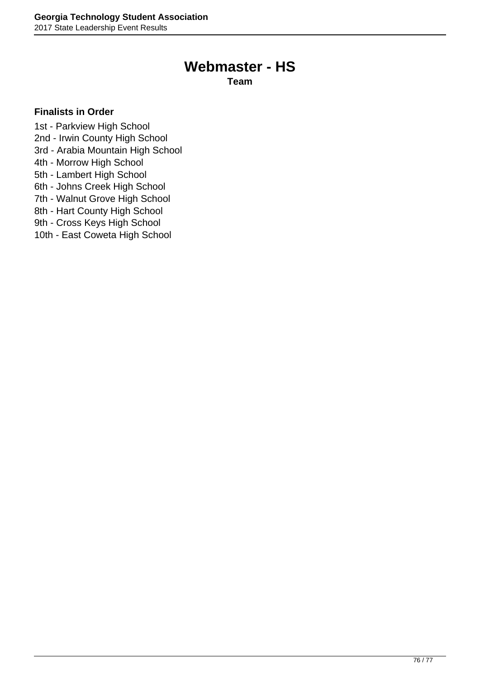### **Webmaster - HS**

**Team**

### **Finalists in Order**

1st - Parkview High School

- 2nd Irwin County High School
- 3rd Arabia Mountain High School
- 4th Morrow High School
- 5th Lambert High School
- 6th Johns Creek High School
- 7th Walnut Grove High School
- 8th Hart County High School
- 9th Cross Keys High School
- 10th East Coweta High School